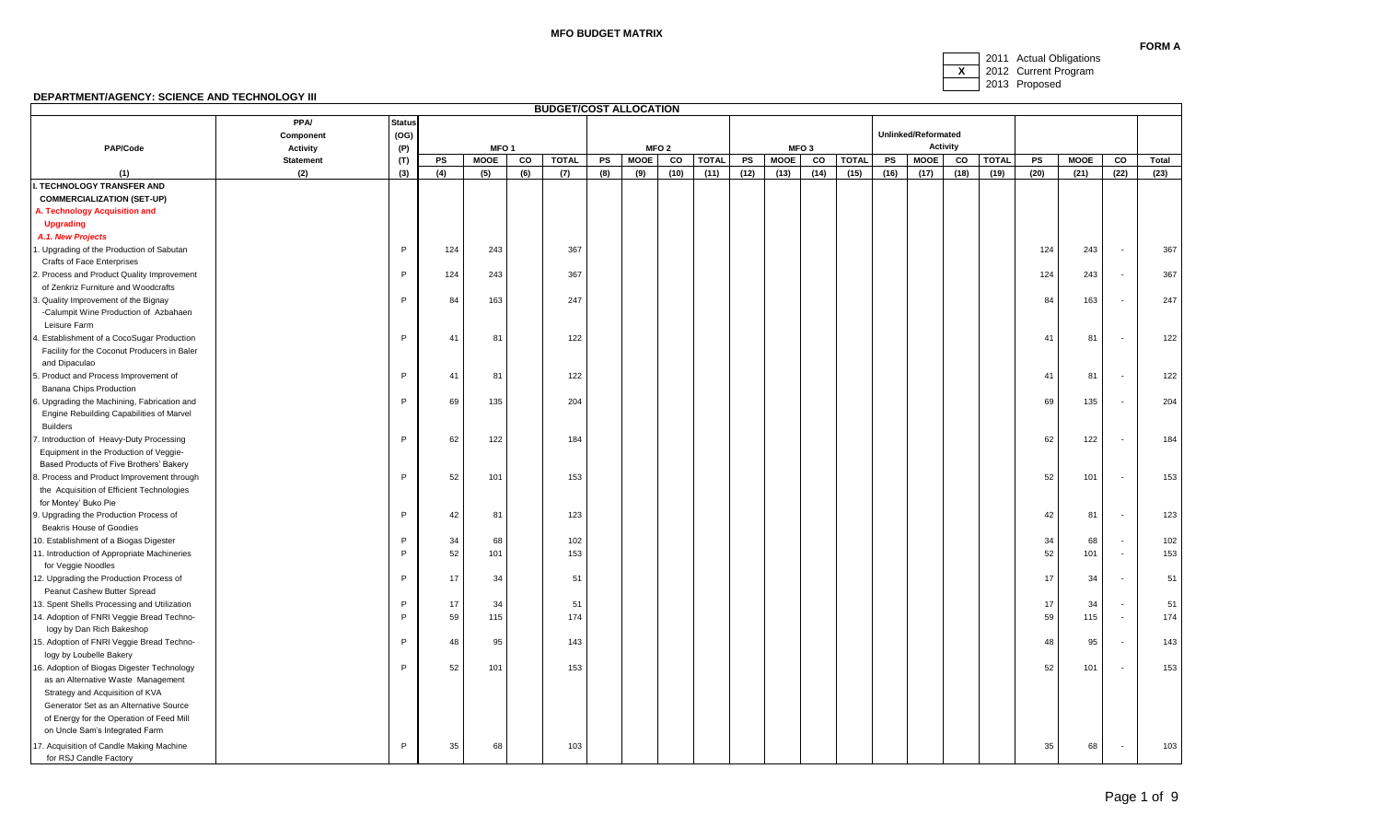# **MFO BUDGET MATRIX**

2011 Actual Obligations **X** 2012 Current Program

#### 2013 Proposed

|                                                                           |                  |               |     |                  |     | <b>BUDGET/COST ALLOCATION</b> |           |             |                  |              |      |             |                  |              |      |                     |                 |              |           |             |                          |       |
|---------------------------------------------------------------------------|------------------|---------------|-----|------------------|-----|-------------------------------|-----------|-------------|------------------|--------------|------|-------------|------------------|--------------|------|---------------------|-----------------|--------------|-----------|-------------|--------------------------|-------|
|                                                                           | <b>PPA/</b>      | <b>Status</b> |     |                  |     |                               |           |             |                  |              |      |             |                  |              |      |                     |                 |              |           |             |                          |       |
|                                                                           | Component        | (OG)          |     |                  |     |                               |           |             |                  |              |      |             |                  |              |      | Unlinked/Reformated |                 |              |           |             |                          |       |
| PAP/Code                                                                  | <b>Activity</b>  | (P)           |     | MFO <sub>1</sub> |     |                               |           |             | MFO <sub>2</sub> |              |      |             | MFO <sub>3</sub> |              |      |                     | <b>Activity</b> |              |           |             |                          |       |
|                                                                           | <b>Statement</b> | (T)           | PS  | <b>MOOE</b>      | co  | <b>TOTAL</b>                  | <b>PS</b> | <b>MOOE</b> | co               | <b>TOTAL</b> | PS   | <b>MOOE</b> | co               | <b>TOTAL</b> | PS   | <b>MOOE</b>         | CO              | <b>TOTAL</b> | <b>PS</b> | <b>MOOE</b> | $_{\rm co}$              | Total |
| (1)                                                                       | (2)              | (3)           | (4) | (5)              | (6) | (7)                           | (8)       | (9)         | (10)             | (11)         | (12) | (13)        | (14)             | (15)         | (16) | (17)                | (18)            | (19)         | (20)      | (21)        | (22)                     | (23)  |
| . TECHNOLOGY TRANSFER AND                                                 |                  |               |     |                  |     |                               |           |             |                  |              |      |             |                  |              |      |                     |                 |              |           |             |                          |       |
| <b>COMMERCIALIZATION (SET-UP)</b>                                         |                  |               |     |                  |     |                               |           |             |                  |              |      |             |                  |              |      |                     |                 |              |           |             |                          |       |
| A. Technology Acquisition and                                             |                  |               |     |                  |     |                               |           |             |                  |              |      |             |                  |              |      |                     |                 |              |           |             |                          |       |
| <b>Upgrading</b>                                                          |                  |               |     |                  |     |                               |           |             |                  |              |      |             |                  |              |      |                     |                 |              |           |             |                          |       |
| A.1. New Projects                                                         |                  |               |     |                  |     |                               |           |             |                  |              |      |             |                  |              |      |                     |                 |              |           |             |                          |       |
| . Upgrading of the Production of Sabutan                                  |                  | P             | 124 | 243              |     | 367                           |           |             |                  |              |      |             |                  |              |      |                     |                 |              | 124       | 243         | $\overline{\phantom{a}}$ | 367   |
| Crafts of Face Enterprises                                                |                  |               |     |                  |     |                               |           |             |                  |              |      |             |                  |              |      |                     |                 |              |           |             |                          |       |
| 2. Process and Product Quality Improvement                                |                  | P             | 124 | 243              |     | 367                           |           |             |                  |              |      |             |                  |              |      |                     |                 |              | 124       | 243         | $\overline{\phantom{a}}$ | 367   |
| of Zenkriz Furniture and Woodcrafts                                       |                  |               |     |                  |     |                               |           |             |                  |              |      |             |                  |              |      |                     |                 |              |           |             |                          |       |
| 3. Quality Improvement of the Bignay                                      |                  | P             | 84  | 163              |     | 247                           |           |             |                  |              |      |             |                  |              |      |                     |                 |              | 84        | 163         |                          | 247   |
| -Calumpit Wine Production of Azbahaen<br>Leisure Farm                     |                  |               |     |                  |     |                               |           |             |                  |              |      |             |                  |              |      |                     |                 |              |           |             |                          |       |
| I. Establishment of a CocoSugar Production                                |                  | P             | 41  | 81               |     | 122                           |           |             |                  |              |      |             |                  |              |      |                     |                 |              | 41        | 81          |                          | 122   |
| Facility for the Coconut Producers in Baler                               |                  |               |     |                  |     |                               |           |             |                  |              |      |             |                  |              |      |                     |                 |              |           |             |                          |       |
| and Dipaculao                                                             |                  |               |     |                  |     |                               |           |             |                  |              |      |             |                  |              |      |                     |                 |              |           |             |                          |       |
| 5. Product and Process Improvement of                                     |                  | P             | 41  | 81               |     | 122                           |           |             |                  |              |      |             |                  |              |      |                     |                 |              | 41        | 81          | $\overline{\phantom{a}}$ | 122   |
| Banana Chips Production                                                   |                  |               |     |                  |     |                               |           |             |                  |              |      |             |                  |              |      |                     |                 |              |           |             |                          |       |
| 3. Upgrading the Machining, Fabrication and                               |                  | P             | 69  | 135              |     | 204                           |           |             |                  |              |      |             |                  |              |      |                     |                 |              | 69        | 135         |                          | 204   |
| Engine Rebuilding Capabilities of Marvel                                  |                  |               |     |                  |     |                               |           |             |                  |              |      |             |                  |              |      |                     |                 |              |           |             |                          |       |
| <b>Builders</b>                                                           |                  |               |     |                  |     |                               |           |             |                  |              |      |             |                  |              |      |                     |                 |              |           |             |                          |       |
| . Introduction of Heavy-Duty Processing                                   |                  | P             | 62  | 122              |     | 184                           |           |             |                  |              |      |             |                  |              |      |                     |                 |              | 62        | 122         |                          | 184   |
| Equipment in the Production of Veggie-                                    |                  |               |     |                  |     |                               |           |             |                  |              |      |             |                  |              |      |                     |                 |              |           |             |                          |       |
| Based Products of Five Brothers' Bakery                                   |                  |               |     |                  |     |                               |           |             |                  |              |      |             |                  |              |      |                     |                 |              |           |             |                          |       |
| 3. Process and Product Improvement through                                |                  | P             | 52  | 101              |     | 153                           |           |             |                  |              |      |             |                  |              |      |                     |                 |              | 52        | 101         |                          | 153   |
| the Acquisition of Efficient Technologies                                 |                  |               |     |                  |     |                               |           |             |                  |              |      |             |                  |              |      |                     |                 |              |           |             |                          |       |
| for Montey' Buko Pie                                                      |                  |               |     |                  |     |                               |           |             |                  |              |      |             |                  |              |      |                     |                 |              |           |             |                          |       |
| 9. Upgrading the Production Process of                                    |                  | P             | 42  | 81               |     | 123                           |           |             |                  |              |      |             |                  |              |      |                     |                 |              | 42        | 81          |                          | 123   |
| <b>Beakris House of Goodies</b>                                           |                  |               |     |                  |     |                               |           |             |                  |              |      |             |                  |              |      |                     |                 |              |           |             |                          |       |
| 10. Establishment of a Biogas Digester                                    |                  | P             | 34  | 68               |     | 102                           |           |             |                  |              |      |             |                  |              |      |                     |                 |              | 34        | 68          |                          | 102   |
| 11. Introduction of Appropriate Machineries                               |                  | P             | 52  | 101              |     | 153                           |           |             |                  |              |      |             |                  |              |      |                     |                 |              | 52        | 101         | $\overline{\phantom{a}}$ | 153   |
| for Veggie Noodles                                                        |                  |               |     |                  |     |                               |           |             |                  |              |      |             |                  |              |      |                     |                 |              |           |             |                          |       |
| 12. Upgrading the Production Process of                                   |                  | P             | 17  | 34               |     | 51                            |           |             |                  |              |      |             |                  |              |      |                     |                 |              | 17        | 34          |                          | 51    |
| Peanut Cashew Butter Spread                                               |                  |               |     |                  |     |                               |           |             |                  |              |      |             |                  |              |      |                     |                 |              |           |             |                          |       |
| 13. Spent Shells Processing and Utilization                               |                  | P             | 17  | 34               |     | 51                            |           |             |                  |              |      |             |                  |              |      |                     |                 |              | 17        | 34          |                          | 51    |
| 14. Adoption of FNRI Veggie Bread Techno-                                 |                  | P             | 59  | 115              |     | 174                           |           |             |                  |              |      |             |                  |              |      |                     |                 |              | 59        | 115         | $\overline{\phantom{a}}$ | 174   |
| logy by Dan Rich Bakeshop                                                 |                  | P             |     |                  |     |                               |           |             |                  |              |      |             |                  |              |      |                     |                 |              |           |             |                          |       |
| 15. Adoption of FNRI Veggie Bread Techno-                                 |                  |               | 48  | 95               |     | 143                           |           |             |                  |              |      |             |                  |              |      |                     |                 |              | 48        | 95          | $\overline{\phantom{a}}$ | 143   |
| logy by Loubelle Bakery                                                   |                  |               |     |                  |     |                               |           |             |                  |              |      |             |                  |              |      |                     |                 |              |           |             |                          |       |
| 16. Adoption of Biogas Digester Technology                                |                  | P             | 52  | 101              |     | 153                           |           |             |                  |              |      |             |                  |              |      |                     |                 |              | 52        | 101         |                          | 153   |
| as an Alternative Waste Management                                        |                  |               |     |                  |     |                               |           |             |                  |              |      |             |                  |              |      |                     |                 |              |           |             |                          |       |
| Strategy and Acquisition of KVA<br>Generator Set as an Alternative Source |                  |               |     |                  |     |                               |           |             |                  |              |      |             |                  |              |      |                     |                 |              |           |             |                          |       |
| of Energy for the Operation of Feed Mill                                  |                  |               |     |                  |     |                               |           |             |                  |              |      |             |                  |              |      |                     |                 |              |           |             |                          |       |
| on Uncle Sam's Integrated Farm                                            |                  |               |     |                  |     |                               |           |             |                  |              |      |             |                  |              |      |                     |                 |              |           |             |                          |       |
|                                                                           |                  |               |     |                  |     |                               |           |             |                  |              |      |             |                  |              |      |                     |                 |              |           |             |                          |       |
| 17. Acquisition of Candle Making Machine                                  |                  | P             | 35  | 68               |     | 103                           |           |             |                  |              |      |             |                  |              |      |                     |                 |              | 35        | 68          | $\sim$                   | 103   |
| for RSJ Candle Factory                                                    |                  |               |     |                  |     |                               |           |             |                  |              |      |             |                  |              |      |                     |                 |              |           |             |                          |       |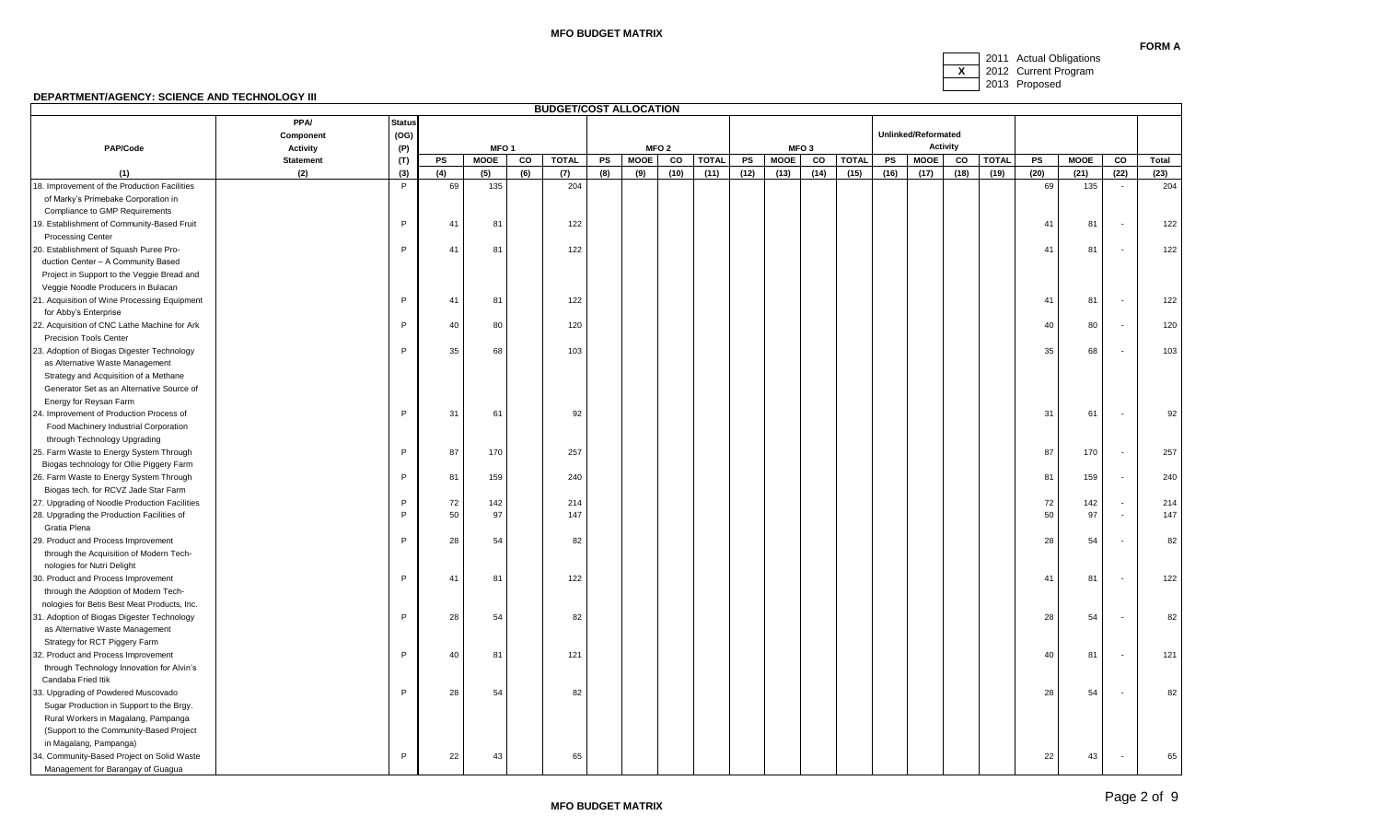### **MFO BUDGET MATRIX**



2013 Proposed

|                                                            |                  |               |     |                  |     | <b>BUDGET/COST ALLOCATION</b> |     |             |                  |              |      |             |                  |              |      |                     |                 |              |          |             |                          |       |
|------------------------------------------------------------|------------------|---------------|-----|------------------|-----|-------------------------------|-----|-------------|------------------|--------------|------|-------------|------------------|--------------|------|---------------------|-----------------|--------------|----------|-------------|--------------------------|-------|
|                                                            | <b>PPA/</b>      | <b>Status</b> |     |                  |     |                               |     |             |                  |              |      |             |                  |              |      |                     |                 |              |          |             |                          |       |
|                                                            | Component        | (OG)          |     |                  |     |                               |     |             |                  |              |      |             |                  |              |      | Unlinked/Reformated |                 |              |          |             |                          |       |
| PAP/Code                                                   | <b>Activity</b>  | (P)           |     | MFO <sub>1</sub> |     |                               |     |             | MFO <sub>2</sub> |              |      |             | MFO <sub>3</sub> |              |      |                     | <b>Activity</b> |              |          |             |                          |       |
|                                                            | <b>Statement</b> | (T)           | PS  | <b>MOOE</b>      | CO  | <b>TOTAL</b>                  | PS  | <b>MOOE</b> | co               | <b>TOTAL</b> | PS   | <b>MOOE</b> | co               | <b>TOTAL</b> | PS   | <b>MOOE</b>         | CO              | <b>TOTAL</b> | PS       | <b>MOOE</b> | co                       | Total |
| (1)                                                        | (2)              | (3)           | (4) | (5)              | (6) | (7)                           | (8) | (9)         | (10)             | (11)         | (12) | (13)        | (14)             | (15)         | (16) | (17)                | (18)            | (19)         | (20)     | (21)        | (22)                     | (23)  |
| 18. Improvement of the Production Facilities               |                  | P             | 69  | 135              |     | 204                           |     |             |                  |              |      |             |                  |              |      |                     |                 |              | 69       | 135         | $\sim$                   | 204   |
| of Marky's Primebake Corporation in                        |                  |               |     |                  |     |                               |     |             |                  |              |      |             |                  |              |      |                     |                 |              |          |             |                          |       |
| Compliance to GMP Requirements                             |                  |               |     |                  |     |                               |     |             |                  |              |      |             |                  |              |      |                     |                 |              |          |             |                          |       |
| 19. Establishment of Community-Based Fruit                 |                  | P             | 41  | 81               |     | 122                           |     |             |                  |              |      |             |                  |              |      |                     |                 |              | 41       | 81          | $\overline{\phantom{a}}$ | 122   |
| <b>Processing Center</b>                                   |                  |               |     |                  |     |                               |     |             |                  |              |      |             |                  |              |      |                     |                 |              |          |             |                          |       |
| 20. Establishment of Squash Puree Pro-                     |                  | P             | 41  | 81               |     | 122                           |     |             |                  |              |      |             |                  |              |      |                     |                 |              | 41       | 81          |                          | 122   |
| duction Center - A Community Based                         |                  |               |     |                  |     |                               |     |             |                  |              |      |             |                  |              |      |                     |                 |              |          |             |                          |       |
| Project in Support to the Veggie Bread and                 |                  |               |     |                  |     |                               |     |             |                  |              |      |             |                  |              |      |                     |                 |              |          |             |                          |       |
| Veggie Noodle Producers in Bulacan                         |                  |               |     |                  |     |                               |     |             |                  |              |      |             |                  |              |      |                     |                 |              |          |             |                          |       |
| 21. Acquisition of Wine Processing Equipment               |                  | P             | 41  | 81               |     | 122                           |     |             |                  |              |      |             |                  |              |      |                     |                 |              | 41       | 81          |                          | 122   |
| for Abby's Enterprise                                      |                  |               |     |                  |     |                               |     |             |                  |              |      |             |                  |              |      |                     |                 |              |          |             |                          |       |
| 22. Acquisition of CNC Lathe Machine for Ark               |                  | P             | 40  | 80               |     | 120                           |     |             |                  |              |      |             |                  |              |      |                     |                 |              | 40       | 80          |                          | 120   |
| <b>Precision Tools Center</b>                              |                  |               |     |                  |     |                               |     |             |                  |              |      |             |                  |              |      |                     |                 |              |          |             |                          |       |
| 23. Adoption of Biogas Digester Technology                 |                  | P             | 35  | 68               |     | 103                           |     |             |                  |              |      |             |                  |              |      |                     |                 |              | 35       | 68          |                          | 103   |
| as Alternative Waste Management                            |                  |               |     |                  |     |                               |     |             |                  |              |      |             |                  |              |      |                     |                 |              |          |             |                          |       |
| Strategy and Acquisition of a Methane                      |                  |               |     |                  |     |                               |     |             |                  |              |      |             |                  |              |      |                     |                 |              |          |             |                          |       |
| Generator Set as an Alternative Source of                  |                  |               |     |                  |     |                               |     |             |                  |              |      |             |                  |              |      |                     |                 |              |          |             |                          |       |
| Energy for Reysan Farm                                     |                  |               |     |                  |     |                               |     |             |                  |              |      |             |                  |              |      |                     |                 |              |          |             |                          |       |
| 24. Improvement of Production Process of                   |                  | P             | 31  | 61               |     | 92                            |     |             |                  |              |      |             |                  |              |      |                     |                 |              | 31       | 61          |                          | 92    |
| Food Machinery Industrial Corporation                      |                  |               |     |                  |     |                               |     |             |                  |              |      |             |                  |              |      |                     |                 |              |          |             |                          |       |
| through Technology Upgrading                               |                  |               |     |                  |     |                               |     |             |                  |              |      |             |                  |              |      |                     |                 |              |          |             |                          |       |
| 25. Farm Waste to Energy System Through                    |                  | P             | 87  | 170              |     | 257                           |     |             |                  |              |      |             |                  |              |      |                     |                 |              | 87       | 170         |                          | 257   |
| Biogas technology for Ollie Piggery Farm                   |                  | P             |     |                  |     | 240                           |     |             |                  |              |      |             |                  |              |      |                     |                 |              |          |             |                          |       |
| 26. Farm Waste to Energy System Through                    |                  |               | 81  | 159              |     |                               |     |             |                  |              |      |             |                  |              |      |                     |                 |              | 81       | 159         |                          | 240   |
| Biogas tech. for RCVZ Jade Star Farm                       |                  | P             | 72  | 142              |     | 214                           |     |             |                  |              |      |             |                  |              |      |                     |                 |              |          |             |                          |       |
| 27. Upgrading of Noodle Production Facilities              |                  | P             | 50  | 97               |     | 147                           |     |             |                  |              |      |             |                  |              |      |                     |                 |              | 72<br>50 | 142<br>97   |                          | 214   |
| 28. Upgrading the Production Facilities of<br>Gratia Plena |                  |               |     |                  |     |                               |     |             |                  |              |      |             |                  |              |      |                     |                 |              |          |             |                          | 147   |
| 29. Product and Process Improvement                        |                  | P             | 28  | 54               |     | 82                            |     |             |                  |              |      |             |                  |              |      |                     |                 |              | 28       | 54          |                          | 82    |
| through the Acquisition of Modern Tech-                    |                  |               |     |                  |     |                               |     |             |                  |              |      |             |                  |              |      |                     |                 |              |          |             |                          |       |
| nologies for Nutri Delight                                 |                  |               |     |                  |     |                               |     |             |                  |              |      |             |                  |              |      |                     |                 |              |          |             |                          |       |
| 30. Product and Process Improvement                        |                  | P             | 41  | 81               |     | 122                           |     |             |                  |              |      |             |                  |              |      |                     |                 |              | 41       | 81          |                          | 122   |
| through the Adoption of Modern Tech-                       |                  |               |     |                  |     |                               |     |             |                  |              |      |             |                  |              |      |                     |                 |              |          |             |                          |       |
| nologies for Betis Best Meat Products, Inc.                |                  |               |     |                  |     |                               |     |             |                  |              |      |             |                  |              |      |                     |                 |              |          |             |                          |       |
| 31. Adoption of Biogas Digester Technology                 |                  | P             | 28  | 54               |     | 82                            |     |             |                  |              |      |             |                  |              |      |                     |                 |              | 28       | 54          |                          | 82    |
| as Alternative Waste Management                            |                  |               |     |                  |     |                               |     |             |                  |              |      |             |                  |              |      |                     |                 |              |          |             |                          |       |
| Strategy for RCT Piggery Farm                              |                  |               |     |                  |     |                               |     |             |                  |              |      |             |                  |              |      |                     |                 |              |          |             |                          |       |
| 32. Product and Process Improvement                        |                  | P             | 40  | 81               |     | 121                           |     |             |                  |              |      |             |                  |              |      |                     |                 |              | 40       | 81          |                          | 121   |
| through Technology Innovation for Alvin's                  |                  |               |     |                  |     |                               |     |             |                  |              |      |             |                  |              |      |                     |                 |              |          |             |                          |       |
| Candaba Fried Itik                                         |                  |               |     |                  |     |                               |     |             |                  |              |      |             |                  |              |      |                     |                 |              |          |             |                          |       |
| 33. Upgrading of Powdered Muscovado                        |                  | P             | 28  | 54               |     | 82                            |     |             |                  |              |      |             |                  |              |      |                     |                 |              | 28       | 54          |                          | 82    |
| Sugar Production in Support to the Brgy.                   |                  |               |     |                  |     |                               |     |             |                  |              |      |             |                  |              |      |                     |                 |              |          |             |                          |       |
| Rural Workers in Magalang, Pampanga                        |                  |               |     |                  |     |                               |     |             |                  |              |      |             |                  |              |      |                     |                 |              |          |             |                          |       |
| (Support to the Community-Based Project                    |                  |               |     |                  |     |                               |     |             |                  |              |      |             |                  |              |      |                     |                 |              |          |             |                          |       |
| in Magalang, Pampanga)                                     |                  |               |     |                  |     |                               |     |             |                  |              |      |             |                  |              |      |                     |                 |              |          |             |                          |       |
| 34. Community-Based Project on Solid Waste                 |                  | P             | 22  | 43               |     | 65                            |     |             |                  |              |      |             |                  |              |      |                     |                 |              | 22       | 43          |                          | 65    |
| Management for Barangay of Guagua                          |                  |               |     |                  |     |                               |     |             |                  |              |      |             |                  |              |      |                     |                 |              |          |             |                          |       |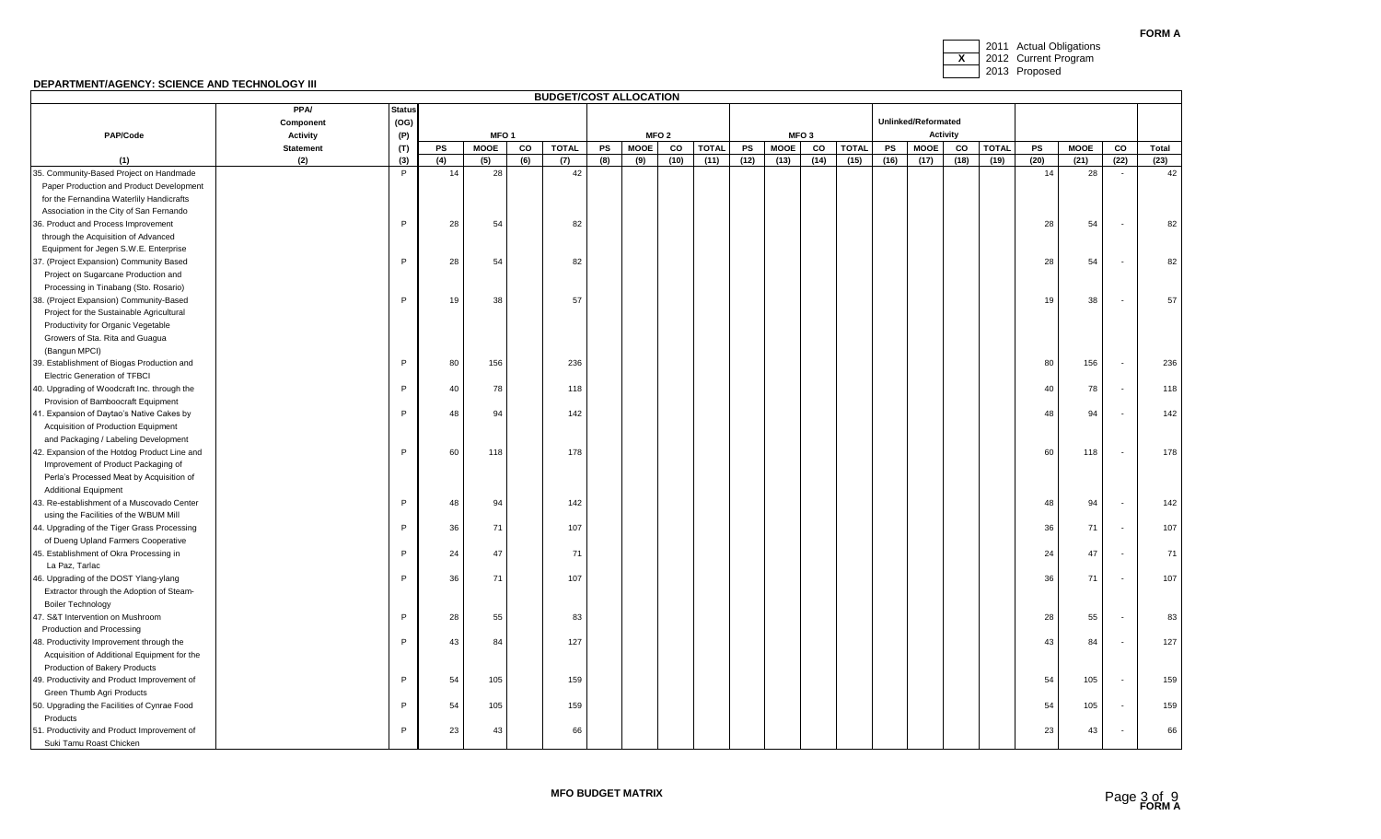**FORM A**



|                                              |                  |               |     |                  |     | <b>BUDGET/COST ALLOCATION</b> |     |             |                  |              |      |             |                  |              |      |                     |                 |              |      |      |                          |       |
|----------------------------------------------|------------------|---------------|-----|------------------|-----|-------------------------------|-----|-------------|------------------|--------------|------|-------------|------------------|--------------|------|---------------------|-----------------|--------------|------|------|--------------------------|-------|
|                                              | <b>PPA/</b>      | <b>Status</b> |     |                  |     |                               |     |             |                  |              |      |             |                  |              |      |                     |                 |              |      |      |                          |       |
|                                              | Component        | (OG)          |     |                  |     |                               |     |             |                  |              |      |             |                  |              |      | Unlinked/Reformated |                 |              |      |      |                          |       |
| PAP/Code                                     | <b>Activity</b>  | (P)           |     | MFO <sub>1</sub> |     |                               |     |             | MFO <sub>2</sub> |              |      |             | MFO <sub>3</sub> |              |      |                     | <b>Activity</b> |              |      |      |                          |       |
|                                              | <b>Statement</b> | (T)           | PS  | <b>MOOE</b>      | CO  | <b>TOTAL</b>                  | PS  | <b>MOOE</b> | CO               | <b>TOTAL</b> | PS   | <b>MOOE</b> | CO               | <b>TOTAL</b> | PS   | <b>MOOE</b>         | CO              | <b>TOTAL</b> | PS   | MOOE | CO                       | Total |
| (1)                                          | (2)              | (3)           | (4) | (5)              | (6) | (7)                           | (8) | (9)         | (10)             | (11)         | (12) | (13)        | (14)             | (15)         | (16) | (17)                | (18)            | (19)         | (20) | (21) | (22)                     | (23)  |
| 35. Community-Based Project on Handmade      |                  | P             | 14  | 28               |     | 42                            |     |             |                  |              |      |             |                  |              |      |                     |                 |              | 14   | 28   |                          | 42    |
| Paper Production and Product Development     |                  |               |     |                  |     |                               |     |             |                  |              |      |             |                  |              |      |                     |                 |              |      |      |                          |       |
| for the Fernandina Waterlily Handicrafts     |                  |               |     |                  |     |                               |     |             |                  |              |      |             |                  |              |      |                     |                 |              |      |      |                          |       |
| Association in the City of San Fernando      |                  |               |     |                  |     |                               |     |             |                  |              |      |             |                  |              |      |                     |                 |              |      |      |                          |       |
| 36. Product and Process Improvement          |                  | P.            | 28  | 54               |     | 82                            |     |             |                  |              |      |             |                  |              |      |                     |                 |              | 28   | 54   | $\overline{\phantom{a}}$ | 82    |
| through the Acquisition of Advanced          |                  |               |     |                  |     |                               |     |             |                  |              |      |             |                  |              |      |                     |                 |              |      |      |                          |       |
| Equipment for Jegen S.W.E. Enterprise        |                  |               |     |                  |     |                               |     |             |                  |              |      |             |                  |              |      |                     |                 |              |      |      |                          |       |
| 37. (Project Expansion) Community Based      |                  | P             | 28  | 54               |     | 82                            |     |             |                  |              |      |             |                  |              |      |                     |                 |              | 28   | 54   | $\overline{\phantom{a}}$ | 82    |
| Project on Sugarcane Production and          |                  |               |     |                  |     |                               |     |             |                  |              |      |             |                  |              |      |                     |                 |              |      |      |                          |       |
| Processing in Tinabang (Sto. Rosario)        |                  |               |     |                  |     |                               |     |             |                  |              |      |             |                  |              |      |                     |                 |              |      |      |                          |       |
| 38. (Project Expansion) Community-Based      |                  | P             | 19  | 38               |     | 57                            |     |             |                  |              |      |             |                  |              |      |                     |                 |              | 19   | 38   |                          | 57    |
| Project for the Sustainable Agricultural     |                  |               |     |                  |     |                               |     |             |                  |              |      |             |                  |              |      |                     |                 |              |      |      |                          |       |
| Productivity for Organic Vegetable           |                  |               |     |                  |     |                               |     |             |                  |              |      |             |                  |              |      |                     |                 |              |      |      |                          |       |
| Growers of Sta. Rita and Guagua              |                  |               |     |                  |     |                               |     |             |                  |              |      |             |                  |              |      |                     |                 |              |      |      |                          |       |
| (Bangun MPCI)                                |                  |               |     |                  |     |                               |     |             |                  |              |      |             |                  |              |      |                     |                 |              |      |      |                          |       |
| 39. Establishment of Biogas Production and   |                  | P             | 80  | 156              |     | 236                           |     |             |                  |              |      |             |                  |              |      |                     |                 |              | 80   | 156  | $\overline{\phantom{a}}$ | 236   |
| <b>Electric Generation of TFBCI</b>          |                  |               |     |                  |     |                               |     |             |                  |              |      |             |                  |              |      |                     |                 |              |      |      |                          |       |
| 40. Upgrading of Woodcraft Inc. through the  |                  | P             | 40  | 78               |     | 118                           |     |             |                  |              |      |             |                  |              |      |                     |                 |              | 40   | 78   | $\overline{\phantom{a}}$ | 118   |
| Provision of Bamboocraft Equipment           |                  |               |     |                  |     |                               |     |             |                  |              |      |             |                  |              |      |                     |                 |              |      |      |                          |       |
| 41. Expansion of Daytao's Native Cakes by    |                  | P             | 48  | 94               |     | 142                           |     |             |                  |              |      |             |                  |              |      |                     |                 |              | 48   | 94   | $\overline{\phantom{a}}$ | 142   |
| Acquisition of Production Equipment          |                  |               |     |                  |     |                               |     |             |                  |              |      |             |                  |              |      |                     |                 |              |      |      |                          |       |
| and Packaging / Labeling Development         |                  |               |     |                  |     |                               |     |             |                  |              |      |             |                  |              |      |                     |                 |              |      |      |                          |       |
| 42. Expansion of the Hotdog Product Line and |                  | P             | 60  | 118              |     | 178                           |     |             |                  |              |      |             |                  |              |      |                     |                 |              | 60   | 118  | $\overline{\phantom{a}}$ | 178   |
| Improvement of Product Packaging of          |                  |               |     |                  |     |                               |     |             |                  |              |      |             |                  |              |      |                     |                 |              |      |      |                          |       |
| Perla's Processed Meat by Acquisition of     |                  |               |     |                  |     |                               |     |             |                  |              |      |             |                  |              |      |                     |                 |              |      |      |                          |       |
| <b>Additional Equipment</b>                  |                  |               |     |                  |     |                               |     |             |                  |              |      |             |                  |              |      |                     |                 |              |      |      |                          |       |
| 43. Re-establishment of a Muscovado Center   |                  | P             | 48  | 94               |     | 142                           |     |             |                  |              |      |             |                  |              |      |                     |                 |              | 48   | 94   | $\overline{\phantom{a}}$ | 142   |
| using the Facilities of the WBUM Mill        |                  |               |     |                  |     |                               |     |             |                  |              |      |             |                  |              |      |                     |                 |              |      |      |                          |       |
| 44. Upgrading of the Tiger Grass Processing  |                  | P             | 36  | 71               |     | 107                           |     |             |                  |              |      |             |                  |              |      |                     |                 |              | 36   | 71   | $\overline{\phantom{a}}$ | 107   |
| of Dueng Upland Farmers Cooperative          |                  |               |     |                  |     |                               |     |             |                  |              |      |             |                  |              |      |                     |                 |              |      |      |                          |       |
| 45. Establishment of Okra Processing in      |                  | P             | 24  | 47               |     | 71                            |     |             |                  |              |      |             |                  |              |      |                     |                 |              | 24   | 47   | $\overline{\phantom{a}}$ | 71    |
| La Paz, Tarlac                               |                  |               |     |                  |     |                               |     |             |                  |              |      |             |                  |              |      |                     |                 |              |      |      |                          |       |
| 46. Upgrading of the DOST Ylang-ylang        |                  | P             | 36  | 71               |     | 107                           |     |             |                  |              |      |             |                  |              |      |                     |                 |              | 36   | 71   |                          | 107   |
| Extractor through the Adoption of Steam-     |                  |               |     |                  |     |                               |     |             |                  |              |      |             |                  |              |      |                     |                 |              |      |      |                          |       |
| <b>Boiler Technology</b>                     |                  |               |     |                  |     |                               |     |             |                  |              |      |             |                  |              |      |                     |                 |              |      |      |                          |       |
| 47. S&T Intervention on Mushroom             |                  | P             | 28  | 55               |     | 83                            |     |             |                  |              |      |             |                  |              |      |                     |                 |              | 28   | 55   |                          | 83    |
| Production and Processing                    |                  |               |     |                  |     |                               |     |             |                  |              |      |             |                  |              |      |                     |                 |              |      |      |                          |       |
| 48. Productivity Improvement through the     |                  | P             | 43  | 84               |     | 127                           |     |             |                  |              |      |             |                  |              |      |                     |                 |              | 43   | 84   | $\overline{\phantom{a}}$ | 127   |
| Acquisition of Additional Equipment for the  |                  |               |     |                  |     |                               |     |             |                  |              |      |             |                  |              |      |                     |                 |              |      |      |                          |       |
| Production of Bakery Products                |                  |               |     |                  |     |                               |     |             |                  |              |      |             |                  |              |      |                     |                 |              |      |      |                          |       |
| 49. Productivity and Product Improvement of  |                  | P             | 54  | 105              |     | 159                           |     |             |                  |              |      |             |                  |              |      |                     |                 |              | 54   | 105  | $\overline{\phantom{a}}$ | 159   |
| Green Thumb Agri Products                    |                  |               |     |                  |     |                               |     |             |                  |              |      |             |                  |              |      |                     |                 |              |      |      |                          |       |
| 50. Upgrading the Facilities of Cynrae Food  |                  | P             | 54  | 105              |     | 159                           |     |             |                  |              |      |             |                  |              |      |                     |                 |              | 54   | 105  |                          | 159   |
| Products                                     |                  |               |     |                  |     |                               |     |             |                  |              |      |             |                  |              |      |                     |                 |              |      |      |                          |       |
| 51. Productivity and Product Improvement of  |                  | P             | 23  | 43               |     | 66                            |     |             |                  |              |      |             |                  |              |      |                     |                 |              | 23   | 43   |                          | 66    |
| Suki Tamu Roast Chicken                      |                  |               |     |                  |     |                               |     |             |                  |              |      |             |                  |              |      |                     |                 |              |      |      |                          |       |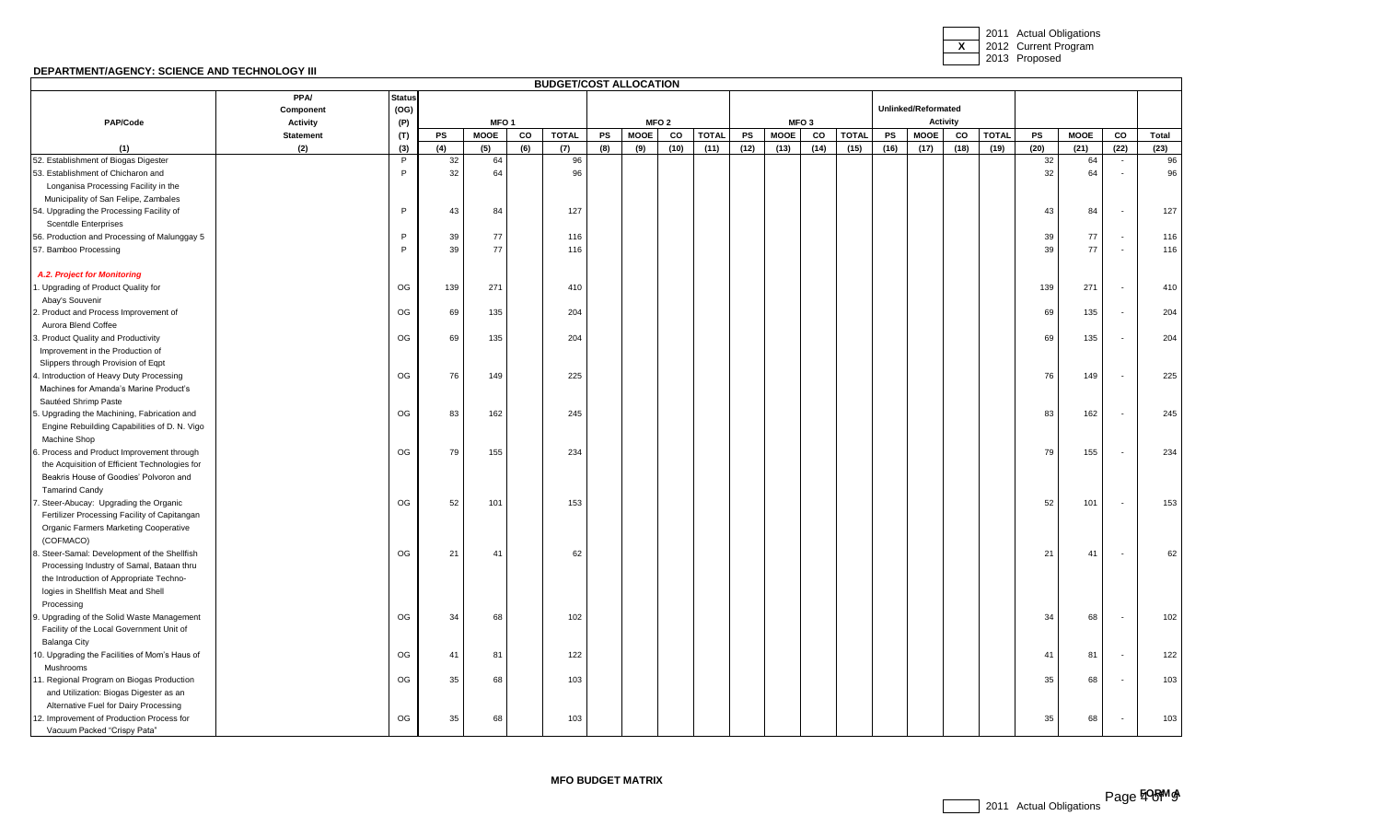2011 Actual Obligations **X** 2012 Current Program 2013 Proposed

# **DEPARTMENT/AGENCY: SCIENCE AND TECHNOLOGY III**

|                                               |                  |               |     |                  |     | <b>BUDGET/COST ALLOCATION</b> |     |             |                  |              |      |             |                  |              |      |                     |                 |              |      |             |                          |       |
|-----------------------------------------------|------------------|---------------|-----|------------------|-----|-------------------------------|-----|-------------|------------------|--------------|------|-------------|------------------|--------------|------|---------------------|-----------------|--------------|------|-------------|--------------------------|-------|
|                                               | <b>PPA/</b>      | <b>Status</b> |     |                  |     |                               |     |             |                  |              |      |             |                  |              |      |                     |                 |              |      |             |                          |       |
|                                               | Component        | (OG)          |     |                  |     |                               |     |             |                  |              |      |             |                  |              |      | Unlinked/Reformated |                 |              |      |             |                          |       |
| PAP/Code                                      | <b>Activity</b>  | (P)           |     | MFO <sub>1</sub> |     |                               |     |             | MFO <sub>2</sub> |              |      |             | MFO <sub>3</sub> |              |      |                     | <b>Activity</b> |              |      |             |                          |       |
|                                               | <b>Statement</b> | (T)           | PS  | <b>MOOE</b>      | CO  | <b>TOTAL</b>                  | PS  | <b>MOOE</b> | CO               | <b>TOTAL</b> | PS   | <b>MOOE</b> | CO               | <b>TOTAL</b> | PS   | <b>MOOE</b>         | CO              | <b>TOTAL</b> | PS   | <b>MOOE</b> | CO                       | Total |
| (1)                                           | (2)              | (3)           | (4) | (5)              | (6) | (7)                           | (8) | (9)         | (10)             | (11)         | (12) | (13)        | (14)             | (15)         | (16) | (17)                | (18)            | (19)         | (20) | (21)        | (22)                     | (23)  |
| 52. Establishment of Biogas Digester          |                  | P             | 32  | 64               |     | 96                            |     |             |                  |              |      |             |                  |              |      |                     |                 |              | 32   | 64          |                          | 96    |
| 53. Establishment of Chicharon and            |                  | P             | 32  | 64               |     | 96                            |     |             |                  |              |      |             |                  |              |      |                     |                 |              | 32   | 64          |                          | 96    |
| Longanisa Processing Facility in the          |                  |               |     |                  |     |                               |     |             |                  |              |      |             |                  |              |      |                     |                 |              |      |             |                          |       |
| Municipality of San Felipe, Zambales          |                  |               |     |                  |     |                               |     |             |                  |              |      |             |                  |              |      |                     |                 |              |      |             |                          |       |
| 54. Upgrading the Processing Facility of      |                  | P             | 43  | 84               |     | 127                           |     |             |                  |              |      |             |                  |              |      |                     |                 |              | 43   | 84          |                          | 127   |
| <b>Scentdle Enterprises</b>                   |                  |               |     |                  |     |                               |     |             |                  |              |      |             |                  |              |      |                     |                 |              |      |             |                          |       |
| 56. Production and Processing of Malunggay 5  |                  | P             | 39  | 77               |     | 116                           |     |             |                  |              |      |             |                  |              |      |                     |                 |              | 39   | 77          |                          | 116   |
| 57. Bamboo Processing                         |                  | P             | 39  | 77               |     | 116                           |     |             |                  |              |      |             |                  |              |      |                     |                 |              | 39   | 77          | $\overline{\phantom{a}}$ | 116   |
| A.2. Project for Monitoring                   |                  |               |     |                  |     |                               |     |             |                  |              |      |             |                  |              |      |                     |                 |              |      |             |                          |       |
| . Upgrading of Product Quality for            |                  | OG            | 139 | 271              |     | 410                           |     |             |                  |              |      |             |                  |              |      |                     |                 |              | 139  | 271         |                          | 410   |
| Abay's Souvenir                               |                  |               |     |                  |     |                               |     |             |                  |              |      |             |                  |              |      |                     |                 |              |      |             |                          |       |
| 2. Product and Process Improvement of         |                  | OG            | 69  | 135              |     | 204                           |     |             |                  |              |      |             |                  |              |      |                     |                 |              | 69   | 135         |                          | 204   |
| Aurora Blend Coffee                           |                  |               |     |                  |     |                               |     |             |                  |              |      |             |                  |              |      |                     |                 |              |      |             |                          |       |
| 3. Product Quality and Productivity           |                  | OG            | 69  | 135              |     | 204                           |     |             |                  |              |      |             |                  |              |      |                     |                 |              | 69   | 135         |                          | 204   |
| Improvement in the Production of              |                  |               |     |                  |     |                               |     |             |                  |              |      |             |                  |              |      |                     |                 |              |      |             |                          |       |
| Slippers through Provision of Eqpt            |                  |               |     |                  |     |                               |     |             |                  |              |      |             |                  |              |      |                     |                 |              |      |             |                          |       |
| 1. Introduction of Heavy Duty Processing      |                  | OG            | 76  | 149              |     | 225                           |     |             |                  |              |      |             |                  |              |      |                     |                 |              | 76   | 149         |                          | 225   |
| Machines for Amanda's Marine Product's        |                  |               |     |                  |     |                               |     |             |                  |              |      |             |                  |              |      |                     |                 |              |      |             |                          |       |
| Sautéed Shrimp Paste                          |                  |               |     |                  |     |                               |     |             |                  |              |      |             |                  |              |      |                     |                 |              |      |             |                          |       |
| 5. Upgrading the Machining, Fabrication and   |                  | OG            | 83  | 162              |     | 245                           |     |             |                  |              |      |             |                  |              |      |                     |                 |              | 83   | 162         | $\overline{\phantom{a}}$ | 245   |
| Engine Rebuilding Capabilities of D. N. Vigo  |                  |               |     |                  |     |                               |     |             |                  |              |      |             |                  |              |      |                     |                 |              |      |             |                          |       |
| Machine Shop                                  |                  |               |     |                  |     |                               |     |             |                  |              |      |             |                  |              |      |                     |                 |              |      |             |                          |       |
| 3. Process and Product Improvement through    |                  | OG            | 79  | 155              |     | 234                           |     |             |                  |              |      |             |                  |              |      |                     |                 |              | 79   | 155         |                          | 234   |
| the Acquisition of Efficient Technologies for |                  |               |     |                  |     |                               |     |             |                  |              |      |             |                  |              |      |                     |                 |              |      |             |                          |       |
| Beakris House of Goodies' Polvoron and        |                  |               |     |                  |     |                               |     |             |                  |              |      |             |                  |              |      |                     |                 |              |      |             |                          |       |
| <b>Tamarind Candy</b>                         |                  |               |     |                  |     |                               |     |             |                  |              |      |             |                  |              |      |                     |                 |              |      |             |                          |       |
| Steer-Abucay: Upgrading the Organic           |                  | OG            | 52  | 101              |     | 153                           |     |             |                  |              |      |             |                  |              |      |                     |                 |              | 52   | 101         |                          | 153   |
| Fertilizer Processing Facility of Capitangan  |                  |               |     |                  |     |                               |     |             |                  |              |      |             |                  |              |      |                     |                 |              |      |             |                          |       |
| Organic Farmers Marketing Cooperative         |                  |               |     |                  |     |                               |     |             |                  |              |      |             |                  |              |      |                     |                 |              |      |             |                          |       |
| (COFMACO)                                     |                  |               |     |                  |     |                               |     |             |                  |              |      |             |                  |              |      |                     |                 |              |      |             |                          |       |
| 3. Steer-Samal: Development of the Shellfish  |                  | OG            | 21  | 41               |     | 62                            |     |             |                  |              |      |             |                  |              |      |                     |                 |              | 21   | 41          |                          | 62    |
| Processing Industry of Samal, Bataan thru     |                  |               |     |                  |     |                               |     |             |                  |              |      |             |                  |              |      |                     |                 |              |      |             |                          |       |
| the Introduction of Appropriate Techno-       |                  |               |     |                  |     |                               |     |             |                  |              |      |             |                  |              |      |                     |                 |              |      |             |                          |       |
| logies in Shellfish Meat and Shell            |                  |               |     |                  |     |                               |     |             |                  |              |      |             |                  |              |      |                     |                 |              |      |             |                          |       |
| Processing                                    |                  |               |     |                  |     |                               |     |             |                  |              |      |             |                  |              |      |                     |                 |              |      |             |                          |       |
| . Upgrading of the Solid Waste Management     |                  | OG            | 34  | 68               |     | 102                           |     |             |                  |              |      |             |                  |              |      |                     |                 |              | 34   | 68          | $\overline{\phantom{a}}$ | 102   |
| Facility of the Local Government Unit of      |                  |               |     |                  |     |                               |     |             |                  |              |      |             |                  |              |      |                     |                 |              |      |             |                          |       |
| <b>Balanga City</b>                           |                  |               |     |                  |     |                               |     |             |                  |              |      |             |                  |              |      |                     |                 |              |      |             |                          |       |
| 10. Upgrading the Facilities of Mom's Haus of |                  | OG            | 41  | 81               |     | 122                           |     |             |                  |              |      |             |                  |              |      |                     |                 |              | 41   | 81          |                          | 122   |
| Mushrooms                                     |                  |               |     |                  |     |                               |     |             |                  |              |      |             |                  |              |      |                     |                 |              |      |             |                          |       |
| 11. Regional Program on Biogas Production     |                  | OG            | 35  | 68               |     | 103                           |     |             |                  |              |      |             |                  |              |      |                     |                 |              | 35   | 68          |                          | 103   |
| and Utilization: Biogas Digester as an        |                  |               |     |                  |     |                               |     |             |                  |              |      |             |                  |              |      |                     |                 |              |      |             |                          |       |
| Alternative Fuel for Dairy Processing         |                  |               |     |                  |     |                               |     |             |                  |              |      |             |                  |              |      |                     |                 |              |      |             |                          |       |
| 12. Improvement of Production Process for     |                  | OG            | 35  | 68               |     | 103                           |     |             |                  |              |      |             |                  |              |      |                     |                 |              | 35   | 68          |                          | 103   |
| Vacuum Packed "Crispy Pata"                   |                  |               |     |                  |     |                               |     |             |                  |              |      |             |                  |              |      |                     |                 |              |      |             |                          |       |

**MFO BUDGET MATRIX**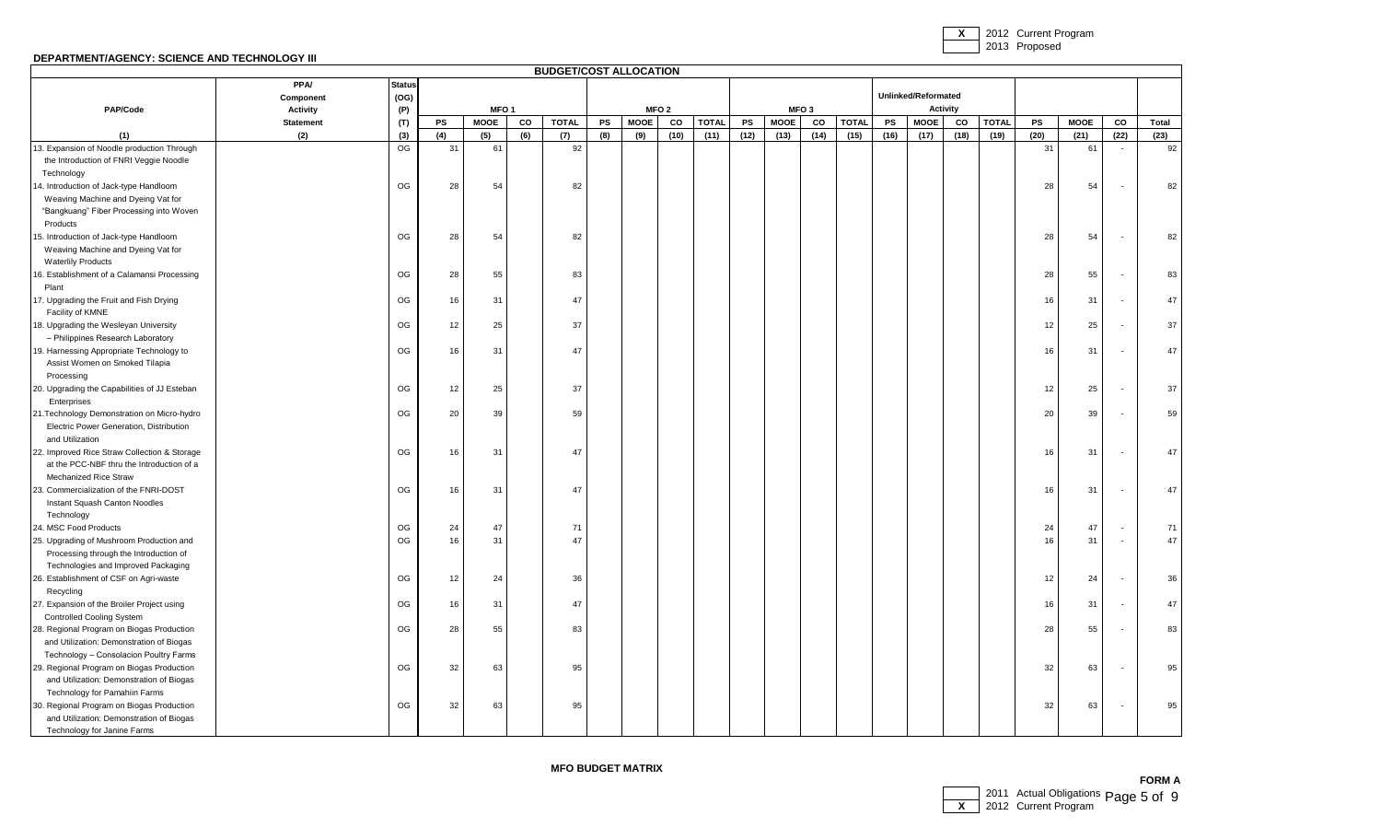**X** 2012 Current Program 2013 Proposed

### **DEPARTMENT/AGENCY: SCIENCE AND TECHNOLOGY III**

|                                              |                  |               |     |                  |             | <b>BUDGET/COST ALLOCATION</b> |     |                  |      |              |      |             |                  |              |      |                     |                 |              |      |             |                          |       |
|----------------------------------------------|------------------|---------------|-----|------------------|-------------|-------------------------------|-----|------------------|------|--------------|------|-------------|------------------|--------------|------|---------------------|-----------------|--------------|------|-------------|--------------------------|-------|
|                                              | <b>PPA/</b>      | <b>Status</b> |     |                  |             |                               |     |                  |      |              |      |             |                  |              |      |                     |                 |              |      |             |                          |       |
|                                              | Component        | (OG)          |     |                  |             |                               |     |                  |      |              |      |             |                  |              |      | Unlinked/Reformated |                 |              |      |             |                          |       |
| PAP/Code                                     | <b>Activity</b>  | (P)           |     | MFO <sub>1</sub> |             |                               |     | MFO <sub>2</sub> |      |              |      |             | MFO <sub>3</sub> |              |      |                     | <b>Activity</b> |              |      |             |                          |       |
|                                              | <b>Statement</b> | (T)           | PS  | <b>MOOE</b>      | $_{\rm CO}$ | <b>TOTAL</b>                  | PS  | <b>MOOE</b>      | co   | <b>TOTAL</b> | PS   | <b>MOOE</b> | $_{\rm co}$      | <b>TOTAL</b> | PS   | <b>MOOE</b>         | CO              | <b>TOTAL</b> | PS   | <b>MOOE</b> | $_{\rm co}$              | Total |
| (1)                                          | (2)              | (3)           | (4) | (5)              | (6)         | (7)                           | (8) | (9)              | (10) | (11)         | (12) | (13)        | (14)             | (15)         | (16) | (17)                | (18)            | (19)         | (20) | (21)        | (22)                     | (23)  |
| 13. Expansion of Noodle production Through   |                  | OG            | 31  | 61               |             | 92                            |     |                  |      |              |      |             |                  |              |      |                     |                 |              | 31   | 61          | $\sim$                   | 92    |
| the Introduction of FNRI Veggie Noodle       |                  |               |     |                  |             |                               |     |                  |      |              |      |             |                  |              |      |                     |                 |              |      |             |                          |       |
| Technology                                   |                  |               |     |                  |             |                               |     |                  |      |              |      |             |                  |              |      |                     |                 |              |      |             |                          |       |
| 14. Introduction of Jack-type Handloom       |                  | OG            | 28  | 54               |             | 82                            |     |                  |      |              |      |             |                  |              |      |                     |                 |              | 28   | 54          |                          | 82    |
| Weaving Machine and Dyeing Vat for           |                  |               |     |                  |             |                               |     |                  |      |              |      |             |                  |              |      |                     |                 |              |      |             |                          |       |
| "Bangkuang" Fiber Processing into Woven      |                  |               |     |                  |             |                               |     |                  |      |              |      |             |                  |              |      |                     |                 |              |      |             |                          |       |
| Products                                     |                  |               |     |                  |             |                               |     |                  |      |              |      |             |                  |              |      |                     |                 |              |      |             |                          |       |
| 15. Introduction of Jack-type Handloom       |                  | OG            | 28  | 54               |             | 82                            |     |                  |      |              |      |             |                  |              |      |                     |                 |              | 28   | 54          | $\overline{\phantom{a}}$ | 82    |
| Weaving Machine and Dyeing Vat for           |                  |               |     |                  |             |                               |     |                  |      |              |      |             |                  |              |      |                     |                 |              |      |             |                          |       |
| <b>Waterlily Products</b>                    |                  |               |     |                  |             |                               |     |                  |      |              |      |             |                  |              |      |                     |                 |              |      |             |                          |       |
| 16. Establishment of a Calamansi Processing  |                  | OG            | 28  | 55               |             | 83                            |     |                  |      |              |      |             |                  |              |      |                     |                 |              | 28   | 55          | $\overline{\phantom{a}}$ | 83    |
| Plant                                        |                  |               |     |                  |             |                               |     |                  |      |              |      |             |                  |              |      |                     |                 |              |      |             |                          |       |
| 17. Upgrading the Fruit and Fish Drying      |                  | OG            | 16  | 31               |             | 47                            |     |                  |      |              |      |             |                  |              |      |                     |                 |              | 16   | 31          | $\blacksquare$           | 47    |
| Facility of KMNE                             |                  |               |     |                  |             |                               |     |                  |      |              |      |             |                  |              |      |                     |                 |              |      |             |                          |       |
| 18. Upgrading the Wesleyan University        |                  | OG            | 12  | 25               |             | 37                            |     |                  |      |              |      |             |                  |              |      |                     |                 |              | 12   | 25          | $\overline{\phantom{a}}$ | 37    |
| - Philippines Research Laboratory            |                  |               |     |                  |             |                               |     |                  |      |              |      |             |                  |              |      |                     |                 |              |      |             |                          |       |
| 19. Harnessing Appropriate Technology to     |                  | OG            | 16  | 31               |             | 47                            |     |                  |      |              |      |             |                  |              |      |                     |                 |              | 16   | 31          |                          | 47    |
| Assist Women on Smoked Tilapia               |                  |               |     |                  |             |                               |     |                  |      |              |      |             |                  |              |      |                     |                 |              |      |             |                          |       |
| Processing                                   |                  |               |     |                  |             |                               |     |                  |      |              |      |             |                  |              |      |                     |                 |              |      |             |                          |       |
| 20. Upgrading the Capabilities of JJ Esteban |                  | OG            | 12  | 25               |             | 37                            |     |                  |      |              |      |             |                  |              |      |                     |                 |              | 12   | 25          | $\overline{\phantom{a}}$ | 37    |
| Enterprises                                  |                  |               |     |                  |             |                               |     |                  |      |              |      |             |                  |              |      |                     |                 |              |      |             |                          |       |
| 21. Technology Demonstration on Micro-hydro  |                  | OG            | 20  | 39               |             | 59                            |     |                  |      |              |      |             |                  |              |      |                     |                 |              | 20   | 39          |                          | 59    |
| Electric Power Generation, Distribution      |                  |               |     |                  |             |                               |     |                  |      |              |      |             |                  |              |      |                     |                 |              |      |             |                          |       |
| and Utilization                              |                  |               |     |                  |             |                               |     |                  |      |              |      |             |                  |              |      |                     |                 |              |      |             |                          |       |
| 22. Improved Rice Straw Collection & Storage |                  | OG            | 16  | 31               |             | 47                            |     |                  |      |              |      |             |                  |              |      |                     |                 |              | 16   | 31          | $\overline{\phantom{a}}$ | 47    |
| at the PCC-NBF thru the Introduction of a    |                  |               |     |                  |             |                               |     |                  |      |              |      |             |                  |              |      |                     |                 |              |      |             |                          |       |
| Mechanized Rice Straw                        |                  |               |     |                  |             |                               |     |                  |      |              |      |             |                  |              |      |                     |                 |              |      |             |                          |       |
| 23. Commercialization of the FNRI-DOST       |                  | OG            | 16  | 31               |             | 47                            |     |                  |      |              |      |             |                  |              |      |                     |                 |              | 16   | 31          | $\overline{\phantom{a}}$ | 47    |
| Instant Squash Canton Noodles                |                  |               |     |                  |             |                               |     |                  |      |              |      |             |                  |              |      |                     |                 |              |      |             |                          |       |
| Technology<br>24. MSC Food Products          |                  | OG            | 24  | 47               |             | 71                            |     |                  |      |              |      |             |                  |              |      |                     |                 |              | 24   | 47          |                          | 71    |
| 25. Upgrading of Mushroom Production and     |                  | OG            | 16  | 31               |             | 47                            |     |                  |      |              |      |             |                  |              |      |                     |                 |              | 16   | 31          | $\overline{\phantom{a}}$ | 47    |
| Processing through the Introduction of       |                  |               |     |                  |             |                               |     |                  |      |              |      |             |                  |              |      |                     |                 |              |      |             |                          |       |
| Technologies and Improved Packaging          |                  |               |     |                  |             |                               |     |                  |      |              |      |             |                  |              |      |                     |                 |              |      |             |                          |       |
| 26. Establishment of CSF on Agri-waste       |                  | OG            | 12  | 24               |             | 36                            |     |                  |      |              |      |             |                  |              |      |                     |                 |              | 12   | 24          | $\overline{\phantom{a}}$ | 36    |
| Recycling                                    |                  |               |     |                  |             |                               |     |                  |      |              |      |             |                  |              |      |                     |                 |              |      |             |                          |       |
| 27. Expansion of the Broiler Project using   |                  | OG            | 16  | 31               |             | 47                            |     |                  |      |              |      |             |                  |              |      |                     |                 |              | 16   | 31          | $\overline{\phantom{a}}$ | 47    |
| <b>Controlled Cooling System</b>             |                  |               |     |                  |             |                               |     |                  |      |              |      |             |                  |              |      |                     |                 |              |      |             |                          |       |
| 28. Regional Program on Biogas Production    |                  | OG            | 28  | 55               |             | 83                            |     |                  |      |              |      |             |                  |              |      |                     |                 |              | 28   | 55          |                          | 83    |
| and Utilization: Demonstration of Biogas     |                  |               |     |                  |             |                               |     |                  |      |              |      |             |                  |              |      |                     |                 |              |      |             |                          |       |
| Technology - Consolacion Poultry Farms       |                  |               |     |                  |             |                               |     |                  |      |              |      |             |                  |              |      |                     |                 |              |      |             |                          |       |
| 29. Regional Program on Biogas Production    |                  | OG            | 32  | 63               |             | 95                            |     |                  |      |              |      |             |                  |              |      |                     |                 |              | 32   | 63          | $\blacksquare$           | 95    |
| and Utilization: Demonstration of Biogas     |                  |               |     |                  |             |                               |     |                  |      |              |      |             |                  |              |      |                     |                 |              |      |             |                          |       |
| Technology for Pamahiin Farms                |                  |               |     |                  |             |                               |     |                  |      |              |      |             |                  |              |      |                     |                 |              |      |             |                          |       |
| 30. Regional Program on Biogas Production    |                  | OG            | 32  | 63               |             | 95                            |     |                  |      |              |      |             |                  |              |      |                     |                 |              | 32   | 63          | $\overline{\phantom{a}}$ | 95    |
| and Utilization: Demonstration of Biogas     |                  |               |     |                  |             |                               |     |                  |      |              |      |             |                  |              |      |                     |                 |              |      |             |                          |       |
| Technology for Janine Farms                  |                  |               |     |                  |             |                               |     |                  |      |              |      |             |                  |              |      |                     |                 |              |      |             |                          |       |

**MFO BUDGET MATRIX**

**FORM A** 2011 Actual Obligations **X** 2011 Actual Obligations Page 5 of 9<br>■ 2012 Current Program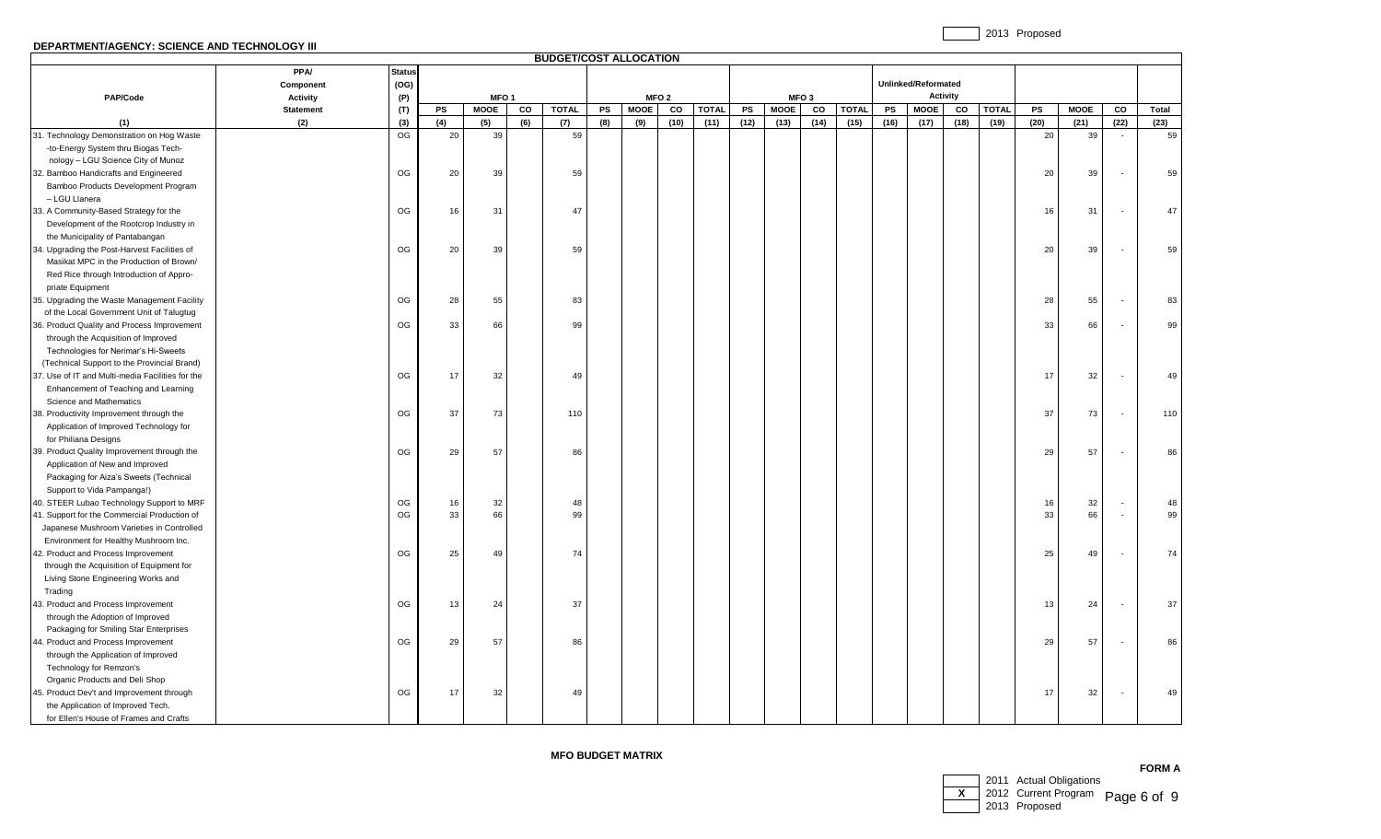# **DEPARTMENT/AGENCY: SCIENCE AND TECHNOLOGY III**

|                                                  |                  |               |     |                  |     | <b>BUDGET/COST ALLOCATION</b> |           |             |                  |              |      |             |                  |              |      |                     |                 |              |      |             |                          |       |
|--------------------------------------------------|------------------|---------------|-----|------------------|-----|-------------------------------|-----------|-------------|------------------|--------------|------|-------------|------------------|--------------|------|---------------------|-----------------|--------------|------|-------------|--------------------------|-------|
|                                                  | <b>PPA/</b>      | <b>Status</b> |     |                  |     |                               |           |             |                  |              |      |             |                  |              |      |                     |                 |              |      |             |                          |       |
|                                                  | Component        | (OG)          |     |                  |     |                               |           |             |                  |              |      |             |                  |              |      | Unlinked/Reformated |                 |              |      |             |                          |       |
| PAP/Code                                         | <b>Activity</b>  | (P)           |     | MFO <sub>1</sub> |     |                               |           |             | MFO <sub>2</sub> |              |      |             | MFO <sub>3</sub> |              |      |                     | <b>Activity</b> |              |      |             |                          |       |
|                                                  | <b>Statement</b> | (T)           | PS  | <b>MOOE</b>      | CO  | <b>TOTAL</b>                  | <b>PS</b> | <b>MOOE</b> | CO               | <b>TOTAL</b> | PS   | <b>MOOE</b> | CO               | <b>TOTAL</b> | PS   | <b>MOOE</b>         | CO              | <b>TOTAL</b> | PS   | <b>MOOE</b> | CO                       | Total |
| (1)                                              | (2)              | (3)           | (4) | (5)              | (6) | (7)                           | (8)       | (9)         | (10)             | (11)         | (12) | (13)        | (14)             | (15)         | (16) | (17)                | (18)            | (19)         | (20) | (21)        | (22)                     | (23)  |
| 31. Technology Demonstration on Hog Waste        |                  | OG            | 20  | 39               |     | 59                            |           |             |                  |              |      |             |                  |              |      |                     |                 |              | 20   | 39          | $\overline{\phantom{a}}$ | 59    |
| -to-Energy System thru Biogas Tech-              |                  |               |     |                  |     |                               |           |             |                  |              |      |             |                  |              |      |                     |                 |              |      |             |                          |       |
| nology - LGU Science City of Munoz               |                  |               |     |                  |     |                               |           |             |                  |              |      |             |                  |              |      |                     |                 |              |      |             |                          |       |
| 32. Bamboo Handicrafts and Engineered            |                  | OG            | 20  | 39               |     | 59                            |           |             |                  |              |      |             |                  |              |      |                     |                 |              | 20   | 39          |                          | 59    |
| Bamboo Products Development Program              |                  |               |     |                  |     |                               |           |             |                  |              |      |             |                  |              |      |                     |                 |              |      |             |                          |       |
| - LGU Llanera                                    |                  |               |     |                  |     |                               |           |             |                  |              |      |             |                  |              |      |                     |                 |              |      |             |                          |       |
| 33. A Community-Based Strategy for the           |                  | OG            | 16  | 31               |     | 47                            |           |             |                  |              |      |             |                  |              |      |                     |                 |              | 16   | 31          |                          | 47    |
| Development of the Rootcrop Industry in          |                  |               |     |                  |     |                               |           |             |                  |              |      |             |                  |              |      |                     |                 |              |      |             |                          |       |
| the Municipality of Pantabangan                  |                  |               |     |                  |     |                               |           |             |                  |              |      |             |                  |              |      |                     |                 |              |      |             |                          |       |
| 34. Upgrading the Post-Harvest Facilities of     |                  | OG            | 20  | 39               |     | 59                            |           |             |                  |              |      |             |                  |              |      |                     |                 |              | 20   | 39          |                          | 59    |
| Masikat MPC in the Production of Brown/          |                  |               |     |                  |     |                               |           |             |                  |              |      |             |                  |              |      |                     |                 |              |      |             |                          |       |
| Red Rice through Introduction of Appro-          |                  |               |     |                  |     |                               |           |             |                  |              |      |             |                  |              |      |                     |                 |              |      |             |                          |       |
| priate Equipment                                 |                  |               |     |                  |     |                               |           |             |                  |              |      |             |                  |              |      |                     |                 |              |      |             |                          |       |
| 35. Upgrading the Waste Management Facility      |                  | OG            | 28  | 55               |     | 83                            |           |             |                  |              |      |             |                  |              |      |                     |                 |              | 28   | 55          |                          | 83    |
| of the Local Government Unit of Talugtug         |                  |               |     |                  |     |                               |           |             |                  |              |      |             |                  |              |      |                     |                 |              |      |             |                          |       |
| 36. Product Quality and Process Improvement      |                  | OG            | 33  | 66               |     | 99                            |           |             |                  |              |      |             |                  |              |      |                     |                 |              | 33   | 66          |                          | 99    |
| through the Acquisition of Improved              |                  |               |     |                  |     |                               |           |             |                  |              |      |             |                  |              |      |                     |                 |              |      |             |                          |       |
| Technologies for Nerimar's Hi-Sweets             |                  |               |     |                  |     |                               |           |             |                  |              |      |             |                  |              |      |                     |                 |              |      |             |                          |       |
| (Technical Support to the Provincial Brand)      |                  |               |     |                  |     |                               |           |             |                  |              |      |             |                  |              |      |                     |                 |              |      |             |                          |       |
| 37. Use of IT and Multi-media Facilities for the |                  | OG            | 17  | 32               |     | 49                            |           |             |                  |              |      |             |                  |              |      |                     |                 |              | 17   | 32          |                          | 49    |
| Enhancement of Teaching and Learning             |                  |               |     |                  |     |                               |           |             |                  |              |      |             |                  |              |      |                     |                 |              |      |             |                          |       |
| Science and Mathematics                          |                  |               |     |                  |     |                               |           |             |                  |              |      |             |                  |              |      |                     |                 |              |      |             |                          |       |
| 38. Productivity Improvement through the         |                  | OG            | 37  | 73               |     | 110                           |           |             |                  |              |      |             |                  |              |      |                     |                 |              | 37   | 73          |                          | 110   |
| Application of Improved Technology for           |                  |               |     |                  |     |                               |           |             |                  |              |      |             |                  |              |      |                     |                 |              |      |             |                          |       |
| for Philiana Designs                             |                  |               |     |                  |     |                               |           |             |                  |              |      |             |                  |              |      |                     |                 |              |      |             |                          |       |
| 39. Product Quality Improvement through the      |                  | OG            | 29  | 57               |     | 86                            |           |             |                  |              |      |             |                  |              |      |                     |                 |              | 29   | 57          |                          | 86    |
| Application of New and Improved                  |                  |               |     |                  |     |                               |           |             |                  |              |      |             |                  |              |      |                     |                 |              |      |             |                          |       |
| Packaging for Aiza's Sweets (Technical           |                  |               |     |                  |     |                               |           |             |                  |              |      |             |                  |              |      |                     |                 |              |      |             |                          |       |
| Support to Vida Pampanga!)                       |                  |               |     |                  |     |                               |           |             |                  |              |      |             |                  |              |      |                     |                 |              |      |             |                          |       |
| 40. STEER Lubao Technology Support to MRF        |                  | OG            | 16  | 32               |     | 48                            |           |             |                  |              |      |             |                  |              |      |                     |                 |              | 16   | 32          |                          | 48    |
| 41. Support for the Commercial Production of     |                  | OG            | 33  | 66               |     | 99                            |           |             |                  |              |      |             |                  |              |      |                     |                 |              | 33   | 66          |                          | 99    |
| Japanese Mushroom Varieties in Controlled        |                  |               |     |                  |     |                               |           |             |                  |              |      |             |                  |              |      |                     |                 |              |      |             |                          |       |
| Environment for Healthy Mushroom Inc.            |                  |               |     |                  |     |                               |           |             |                  |              |      |             |                  |              |      |                     |                 |              |      |             |                          |       |
| 42. Product and Process Improvement              |                  | OG            | 25  | 49               |     | 74                            |           |             |                  |              |      |             |                  |              |      |                     |                 |              | 25   | 49          |                          | 74    |
| through the Acquisition of Equipment for         |                  |               |     |                  |     |                               |           |             |                  |              |      |             |                  |              |      |                     |                 |              |      |             |                          |       |
| Living Stone Engineering Works and               |                  |               |     |                  |     |                               |           |             |                  |              |      |             |                  |              |      |                     |                 |              |      |             |                          |       |
| Trading                                          |                  |               |     |                  |     |                               |           |             |                  |              |      |             |                  |              |      |                     |                 |              |      |             |                          |       |
| 43. Product and Process Improvement              |                  | OG            | 13  | 24               |     | 37                            |           |             |                  |              |      |             |                  |              |      |                     |                 |              | 13   | 24          |                          | 37    |
| through the Adoption of Improved                 |                  |               |     |                  |     |                               |           |             |                  |              |      |             |                  |              |      |                     |                 |              |      |             |                          |       |
| Packaging for Smiling Star Enterprises           |                  |               |     |                  |     |                               |           |             |                  |              |      |             |                  |              |      |                     |                 |              |      |             |                          |       |
| 44. Product and Process Improvement              |                  | OG            | 29  | 57               |     | 86                            |           |             |                  |              |      |             |                  |              |      |                     |                 |              | 29   | 57          |                          | 86    |
| through the Application of Improved              |                  |               |     |                  |     |                               |           |             |                  |              |      |             |                  |              |      |                     |                 |              |      |             |                          |       |
| Technology for Remzon's                          |                  |               |     |                  |     |                               |           |             |                  |              |      |             |                  |              |      |                     |                 |              |      |             |                          |       |
| Organic Products and Deli Shop                   |                  |               |     |                  |     |                               |           |             |                  |              |      |             |                  |              |      |                     |                 |              |      |             |                          |       |
| 45. Product Dev't and Improvement through        |                  | OG            | 17  | 32               |     | 49                            |           |             |                  |              |      |             |                  |              |      |                     |                 |              | 17   | 32          | $\overline{\phantom{a}}$ | 49    |
| the Application of Improved Tech.                |                  |               |     |                  |     |                               |           |             |                  |              |      |             |                  |              |      |                     |                 |              |      |             |                          |       |
| for Ellen's House of Frames and Crafts           |                  |               |     |                  |     |                               |           |             |                  |              |      |             |                  |              |      |                     |                 |              |      |             |                          |       |

# **MFO BUDGET MATRIX**

|  |                                                 | ה ויורי ש |
|--|-------------------------------------------------|-----------|
|  | 2011 Actual Obligations                         |           |
|  | $\overline{X}$ 2012 Current Program Page 6 of 9 |           |
|  | 2013 Proposed                                   |           |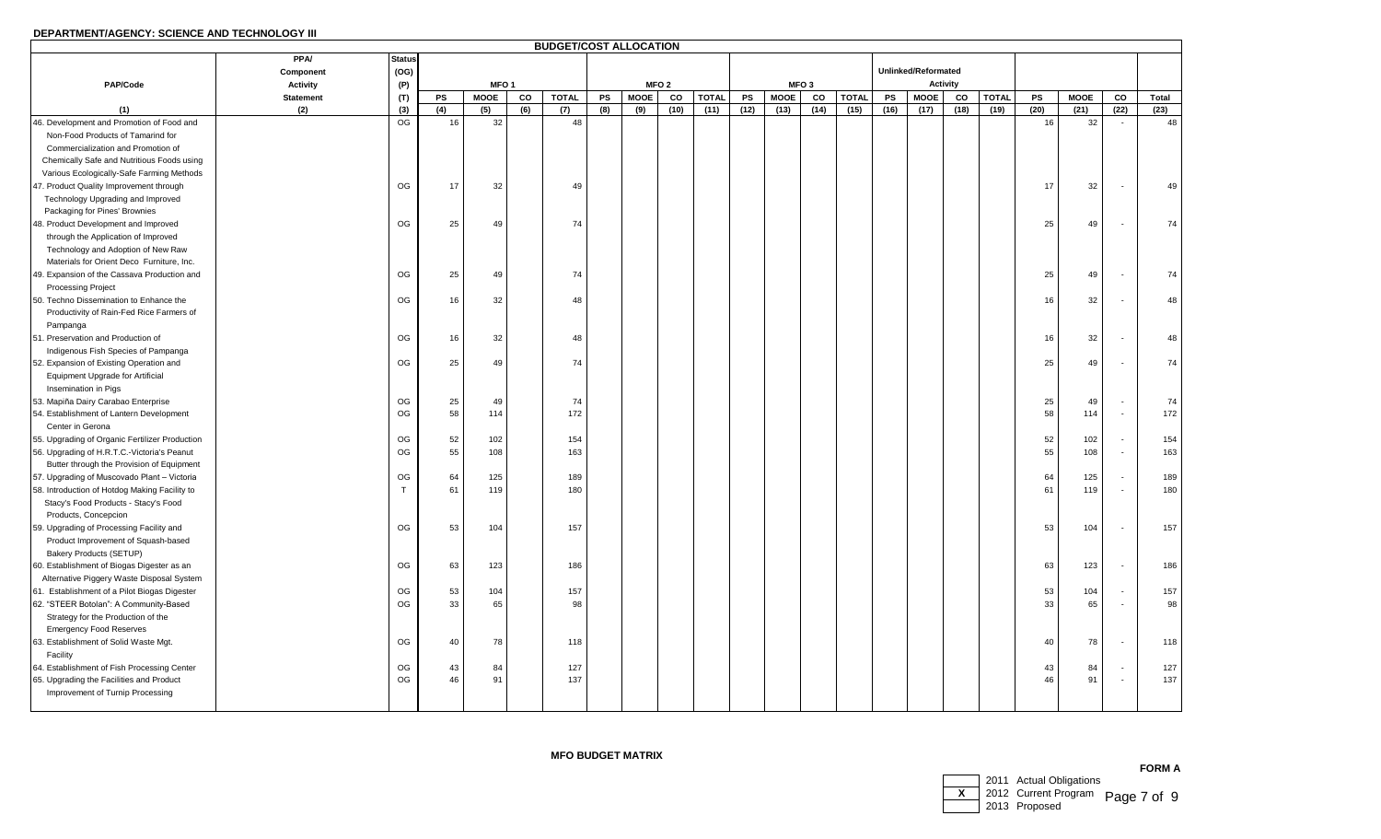|                                                |                  |               |     |                  |     | <b>BUDGET/COST ALLOCATION</b> |           |             |                  |              |      |             |                  |              |      |                     |                 |              |      |             |        |       |
|------------------------------------------------|------------------|---------------|-----|------------------|-----|-------------------------------|-----------|-------------|------------------|--------------|------|-------------|------------------|--------------|------|---------------------|-----------------|--------------|------|-------------|--------|-------|
|                                                | <b>PPA/</b>      | <b>Status</b> |     |                  |     |                               |           |             |                  |              |      |             |                  |              |      |                     |                 |              |      |             |        |       |
|                                                | Component        | (OG)          |     |                  |     |                               |           |             |                  |              |      |             |                  |              |      | Unlinked/Reformated |                 |              |      |             |        |       |
| PAP/Code                                       | <b>Activity</b>  | (P)           |     | MFO <sub>1</sub> |     |                               |           |             | MFO <sub>2</sub> |              |      |             | MFO <sub>3</sub> |              |      |                     | <b>Activity</b> |              |      |             |        |       |
|                                                | <b>Statement</b> | (T)           | PS  | <b>MOOE</b>      | CO  | <b>TOTAL</b>                  | <b>PS</b> | <b>MOOE</b> | CO               | <b>TOTAL</b> | PS   | <b>MOOE</b> | CO               | <b>TOTAL</b> | PS   | <b>MOOE</b>         | CO              | <b>TOTAL</b> | PS   | <b>MOOE</b> | CO     | Total |
| (1)                                            | (2)              | (3)           | (4) | (5)              | (6) | (7)                           | (8)       | (9)         | (10)             | (11)         | (12) | (13)        | (14)             | (15)         | (16) | (17)                | (18)            | (19)         | (20) | (21)        | (22)   | (23)  |
| 46. Development and Promotion of Food and      |                  | OG            | 16  | 32               |     | 48                            |           |             |                  |              |      |             |                  |              |      |                     |                 |              | 16   | 32          | $\sim$ | 48    |
| Non-Food Products of Tamarind for              |                  |               |     |                  |     |                               |           |             |                  |              |      |             |                  |              |      |                     |                 |              |      |             |        |       |
| Commercialization and Promotion of             |                  |               |     |                  |     |                               |           |             |                  |              |      |             |                  |              |      |                     |                 |              |      |             |        |       |
| Chemically Safe and Nutritious Foods using     |                  |               |     |                  |     |                               |           |             |                  |              |      |             |                  |              |      |                     |                 |              |      |             |        |       |
| Various Ecologically-Safe Farming Methods      |                  |               |     |                  |     |                               |           |             |                  |              |      |             |                  |              |      |                     |                 |              |      |             |        |       |
| 47. Product Quality Improvement through        |                  | OG            | 17  | 32               |     | 49                            |           |             |                  |              |      |             |                  |              |      |                     |                 |              | 17   | 32          |        | 49    |
| Technology Upgrading and Improved              |                  |               |     |                  |     |                               |           |             |                  |              |      |             |                  |              |      |                     |                 |              |      |             |        |       |
| Packaging for Pines' Brownies                  |                  |               |     |                  |     |                               |           |             |                  |              |      |             |                  |              |      |                     |                 |              |      |             |        |       |
| 48. Product Development and Improved           |                  | OG            | 25  | 49               |     | 74                            |           |             |                  |              |      |             |                  |              |      |                     |                 |              | 25   | 49          |        | 74    |
| through the Application of Improved            |                  |               |     |                  |     |                               |           |             |                  |              |      |             |                  |              |      |                     |                 |              |      |             |        |       |
| Technology and Adoption of New Raw             |                  |               |     |                  |     |                               |           |             |                  |              |      |             |                  |              |      |                     |                 |              |      |             |        |       |
| Materials for Orient Deco Furniture, Inc.      |                  |               |     |                  |     |                               |           |             |                  |              |      |             |                  |              |      |                     |                 |              |      |             |        |       |
| 49. Expansion of the Cassava Production and    |                  | OG            | 25  | 49               |     | 74                            |           |             |                  |              |      |             |                  |              |      |                     |                 |              | 25   | 49          |        | 74    |
| <b>Processing Project</b>                      |                  |               |     |                  |     |                               |           |             |                  |              |      |             |                  |              |      |                     |                 |              |      |             |        |       |
| 50. Techno Dissemination to Enhance the        |                  | OG            | 16  | 32               |     | 48                            |           |             |                  |              |      |             |                  |              |      |                     |                 |              | 16   | 32          |        | 48    |
| Productivity of Rain-Fed Rice Farmers of       |                  |               |     |                  |     |                               |           |             |                  |              |      |             |                  |              |      |                     |                 |              |      |             |        |       |
| Pampanga                                       |                  |               |     |                  |     |                               |           |             |                  |              |      |             |                  |              |      |                     |                 |              |      |             |        |       |
| 51. Preservation and Production of             |                  | OG            | 16  | 32               |     | 48                            |           |             |                  |              |      |             |                  |              |      |                     |                 |              | 16   | 32          |        | 48    |
| Indigenous Fish Species of Pampanga            |                  |               |     |                  |     |                               |           |             |                  |              |      |             |                  |              |      |                     |                 |              |      |             |        |       |
| 52. Expansion of Existing Operation and        |                  | OG            | 25  | 49               |     | 74                            |           |             |                  |              |      |             |                  |              |      |                     |                 |              | 25   | 49          |        | 74    |
| Equipment Upgrade for Artificial               |                  |               |     |                  |     |                               |           |             |                  |              |      |             |                  |              |      |                     |                 |              |      |             |        |       |
| Insemination in Pigs                           |                  |               |     |                  |     |                               |           |             |                  |              |      |             |                  |              |      |                     |                 |              |      |             |        |       |
| 53. Mapiña Dairy Carabao Enterprise            |                  | OG            | 25  | 49               |     | 74                            |           |             |                  |              |      |             |                  |              |      |                     |                 |              | 25   | 49          |        | 74    |
| 54. Establishment of Lantern Development       |                  | OG            | 58  | 114              |     | 172                           |           |             |                  |              |      |             |                  |              |      |                     |                 |              | 58   | 114         |        | 172   |
| Center in Gerona                               |                  |               |     |                  |     |                               |           |             |                  |              |      |             |                  |              |      |                     |                 |              |      |             |        |       |
| 55. Upgrading of Organic Fertilizer Production |                  | OG            | 52  | 102              |     | 154                           |           |             |                  |              |      |             |                  |              |      |                     |                 |              | 52   | 102         |        | 154   |
| 56. Upgrading of H.R.T.C.-Victoria's Peanut    |                  | OG            | 55  | 108              |     | 163                           |           |             |                  |              |      |             |                  |              |      |                     |                 |              | 55   | 108         |        | 163   |
| Butter through the Provision of Equipment      |                  |               |     |                  |     |                               |           |             |                  |              |      |             |                  |              |      |                     |                 |              |      |             |        |       |
| 57. Upgrading of Muscovado Plant - Victoria    |                  | OG            | 64  | 125              |     | 189                           |           |             |                  |              |      |             |                  |              |      |                     |                 |              | 64   | 125         |        | 189   |
| 58. Introduction of Hotdog Making Facility to  |                  | T             | 61  | 119              |     | 180                           |           |             |                  |              |      |             |                  |              |      |                     |                 |              | 61   | 119         |        | 180   |
| Stacy's Food Products - Stacy's Food           |                  |               |     |                  |     |                               |           |             |                  |              |      |             |                  |              |      |                     |                 |              |      |             |        |       |
| Products, Concepcion                           |                  |               |     |                  |     |                               |           |             |                  |              |      |             |                  |              |      |                     |                 |              |      |             |        |       |
| 59. Upgrading of Processing Facility and       |                  | OG            | 53  | 104              |     | 157                           |           |             |                  |              |      |             |                  |              |      |                     |                 |              | 53   | 104         |        | 157   |
| Product Improvement of Squash-based            |                  |               |     |                  |     |                               |           |             |                  |              |      |             |                  |              |      |                     |                 |              |      |             |        |       |
| Bakery Products (SETUP)                        |                  |               |     |                  |     |                               |           |             |                  |              |      |             |                  |              |      |                     |                 |              |      |             |        |       |
| 60. Establishment of Biogas Digester as an     |                  | OG            | 63  | 123              |     | 186                           |           |             |                  |              |      |             |                  |              |      |                     |                 |              | 63   | 123         |        | 186   |
| Alternative Piggery Waste Disposal System      |                  |               |     |                  |     |                               |           |             |                  |              |      |             |                  |              |      |                     |                 |              |      |             |        |       |
| 61. Establishment of a Pilot Biogas Digester   |                  | OG            | 53  | 104              |     | 157                           |           |             |                  |              |      |             |                  |              |      |                     |                 |              | 53   | 104         |        | 157   |
| 62. "STEER Botolan": A Community-Based         |                  | OG            | 33  | 65               |     | 98                            |           |             |                  |              |      |             |                  |              |      |                     |                 |              | 33   | 65          |        | 98    |
| Strategy for the Production of the             |                  |               |     |                  |     |                               |           |             |                  |              |      |             |                  |              |      |                     |                 |              |      |             |        |       |
| <b>Emergency Food Reserves</b>                 |                  |               |     |                  |     |                               |           |             |                  |              |      |             |                  |              |      |                     |                 |              |      |             |        |       |
| 63. Establishment of Solid Waste Mgt.          |                  | OG            | 40  | 78               |     | 118                           |           |             |                  |              |      |             |                  |              |      |                     |                 |              | 40   | 78          |        | 118   |
| Facility                                       |                  |               |     |                  |     |                               |           |             |                  |              |      |             |                  |              |      |                     |                 |              |      |             |        |       |
| 64. Establishment of Fish Processing Center    |                  | OG            | 43  | 84               |     | 127                           |           |             |                  |              |      |             |                  |              |      |                     |                 |              | 43   | 84          |        | 127   |
| 65. Upgrading the Facilities and Product       |                  | OG            | 46  | 91               |     | 137                           |           |             |                  |              |      |             |                  |              |      |                     |                 |              | 46   | 91          |        | 137   |
| Improvement of Turnip Processing               |                  |               |     |                  |     |                               |           |             |                  |              |      |             |                  |              |      |                     |                 |              |      |             |        |       |
|                                                |                  |               |     |                  |     |                               |           |             |                  |              |      |             |                  |              |      |                     |                 |              |      |             |        |       |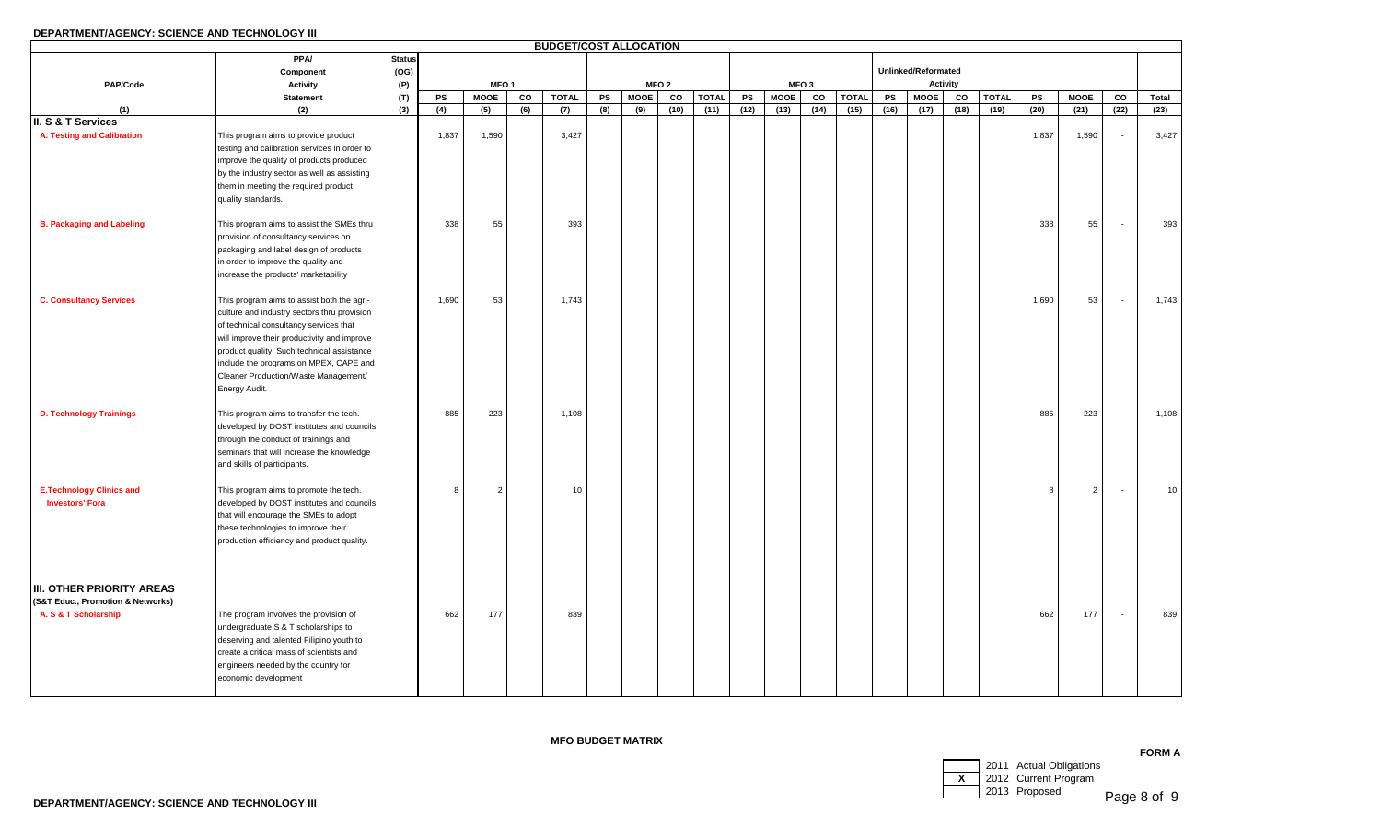# **DEPARTMENT/AGENCY: SCIENCE AND TECHNOLOGY III**

|                                   |                                                       |               |       |                  |     | <b>BUDGET/COST ALLOCATION</b> |     |             |                  |              |      |             |                  |              |      |                     |          |              |       |                |                          |       |
|-----------------------------------|-------------------------------------------------------|---------------|-------|------------------|-----|-------------------------------|-----|-------------|------------------|--------------|------|-------------|------------------|--------------|------|---------------------|----------|--------------|-------|----------------|--------------------------|-------|
|                                   | <b>PPA/</b>                                           | <b>Status</b> |       |                  |     |                               |     |             |                  |              |      |             |                  |              |      |                     |          |              |       |                |                          |       |
|                                   | Component                                             | (OG)          |       |                  |     |                               |     |             |                  |              |      |             |                  |              |      | Unlinked/Reformated |          |              |       |                |                          |       |
| PAP/Code                          | <b>Activity</b>                                       | (P)           |       | MFO <sub>1</sub> |     |                               |     |             | MFO <sub>2</sub> |              |      |             | MFO <sub>3</sub> |              |      |                     | Activity |              |       |                |                          |       |
|                                   | <b>Statement</b>                                      | (T)           | PS    | <b>MOOE</b>      | co  | <b>TOTAL</b>                  | PS  | <b>MOOE</b> | CO               | <b>TOTAL</b> | PS   | <b>MOOE</b> | CO               | <b>TOTAL</b> | PS   | <b>MOOE</b>         | CO       | <b>TOTAL</b> | PS    | <b>MOOE</b>    | CO                       | Total |
| (1)                               | (2)                                                   | (3)           | (4)   | (5)              | (6) | (7)                           | (8) | (9)         | (10)             | (11)         | (12) | (13)        | (14)             | (15)         | (16) | (17)                | (18)     | (19)         | (20)  | (21)           | (22)                     | (23)  |
| III. S & T Services               |                                                       |               |       |                  |     |                               |     |             |                  |              |      |             |                  |              |      |                     |          |              |       |                |                          |       |
| A. Testing and Calibration        | This program aims to provide product                  |               | 1,837 | 1,590            |     | 3,427                         |     |             |                  |              |      |             |                  |              |      |                     |          |              | 1,837 | 1,590          | $\sim$                   | 3,427 |
|                                   | testing and calibration services in order to          |               |       |                  |     |                               |     |             |                  |              |      |             |                  |              |      |                     |          |              |       |                |                          |       |
|                                   | improve the quality of products produced              |               |       |                  |     |                               |     |             |                  |              |      |             |                  |              |      |                     |          |              |       |                |                          |       |
|                                   | by the industry sector as well as assisting           |               |       |                  |     |                               |     |             |                  |              |      |             |                  |              |      |                     |          |              |       |                |                          |       |
|                                   | them in meeting the required product                  |               |       |                  |     |                               |     |             |                  |              |      |             |                  |              |      |                     |          |              |       |                |                          |       |
|                                   | quality standards.                                    |               |       |                  |     |                               |     |             |                  |              |      |             |                  |              |      |                     |          |              |       |                |                          |       |
| <b>B. Packaging and Labeling</b>  | This program aims to assist the SMEs thru             |               | 338   | 55               |     | 393                           |     |             |                  |              |      |             |                  |              |      |                     |          |              | 338   | 55             | $\sim$                   | 393   |
|                                   | provision of consultancy services on                  |               |       |                  |     |                               |     |             |                  |              |      |             |                  |              |      |                     |          |              |       |                |                          |       |
|                                   | packaging and label design of products                |               |       |                  |     |                               |     |             |                  |              |      |             |                  |              |      |                     |          |              |       |                |                          |       |
|                                   | in order to improve the quality and                   |               |       |                  |     |                               |     |             |                  |              |      |             |                  |              |      |                     |          |              |       |                |                          |       |
|                                   | increase the products' marketability                  |               |       |                  |     |                               |     |             |                  |              |      |             |                  |              |      |                     |          |              |       |                |                          |       |
|                                   |                                                       |               |       |                  |     |                               |     |             |                  |              |      |             |                  |              |      |                     |          |              |       |                |                          |       |
| <b>C. Consultancy Services</b>    | This program aims to assist both the agri-            |               | 1,690 | 53               |     | 1,743                         |     |             |                  |              |      |             |                  |              |      |                     |          |              | 1,690 | 53             | $\overline{a}$           | 1,743 |
|                                   | culture and industry sectors thru provision           |               |       |                  |     |                               |     |             |                  |              |      |             |                  |              |      |                     |          |              |       |                |                          |       |
|                                   | of technical consultancy services that                |               |       |                  |     |                               |     |             |                  |              |      |             |                  |              |      |                     |          |              |       |                |                          |       |
|                                   | will improve their productivity and improve           |               |       |                  |     |                               |     |             |                  |              |      |             |                  |              |      |                     |          |              |       |                |                          |       |
|                                   | product quality. Such technical assistance            |               |       |                  |     |                               |     |             |                  |              |      |             |                  |              |      |                     |          |              |       |                |                          |       |
|                                   | include the programs on MPEX, CAPE and                |               |       |                  |     |                               |     |             |                  |              |      |             |                  |              |      |                     |          |              |       |                |                          |       |
|                                   | Cleaner Production/Waste Management/<br>Energy Audit. |               |       |                  |     |                               |     |             |                  |              |      |             |                  |              |      |                     |          |              |       |                |                          |       |
|                                   |                                                       |               |       |                  |     |                               |     |             |                  |              |      |             |                  |              |      |                     |          |              |       |                |                          |       |
| <b>D. Technology Trainings</b>    | This program aims to transfer the tech.               |               | 885   | 223              |     | 1,108                         |     |             |                  |              |      |             |                  |              |      |                     |          |              | 885   | 223            | $\sim$                   | 1,108 |
|                                   | developed by DOST institutes and councils             |               |       |                  |     |                               |     |             |                  |              |      |             |                  |              |      |                     |          |              |       |                |                          |       |
|                                   | through the conduct of trainings and                  |               |       |                  |     |                               |     |             |                  |              |      |             |                  |              |      |                     |          |              |       |                |                          |       |
|                                   | seminars that will increase the knowledge             |               |       |                  |     |                               |     |             |                  |              |      |             |                  |              |      |                     |          |              |       |                |                          |       |
|                                   | and skills of participants.                           |               |       |                  |     |                               |     |             |                  |              |      |             |                  |              |      |                     |          |              |       |                |                          |       |
|                                   |                                                       |               |       |                  |     |                               |     |             |                  |              |      |             |                  |              |      |                     |          |              |       |                |                          |       |
| <b>E.Technology Clinics and</b>   | This program aims to promote the tech.                |               | 8     | 2                |     | 10                            |     |             |                  |              |      |             |                  |              |      |                     |          |              | 8     | $\overline{2}$ | $\overline{\phantom{a}}$ | 10    |
| <b>Investors' Fora</b>            | developed by DOST institutes and councils             |               |       |                  |     |                               |     |             |                  |              |      |             |                  |              |      |                     |          |              |       |                |                          |       |
|                                   | that will encourage the SMEs to adopt                 |               |       |                  |     |                               |     |             |                  |              |      |             |                  |              |      |                     |          |              |       |                |                          |       |
|                                   | these technologies to improve their                   |               |       |                  |     |                               |     |             |                  |              |      |             |                  |              |      |                     |          |              |       |                |                          |       |
|                                   | production efficiency and product quality.            |               |       |                  |     |                               |     |             |                  |              |      |             |                  |              |      |                     |          |              |       |                |                          |       |
|                                   |                                                       |               |       |                  |     |                               |     |             |                  |              |      |             |                  |              |      |                     |          |              |       |                |                          |       |
|                                   |                                                       |               |       |                  |     |                               |     |             |                  |              |      |             |                  |              |      |                     |          |              |       |                |                          |       |
| <b>III. OTHER PRIORITY AREAS</b>  |                                                       |               |       |                  |     |                               |     |             |                  |              |      |             |                  |              |      |                     |          |              |       |                |                          |       |
| (S&T Educ., Promotion & Networks) |                                                       |               |       |                  |     |                               |     |             |                  |              |      |             |                  |              |      |                     |          |              |       |                |                          |       |
| A. S & T Scholarship              | The program involves the provision of                 |               | 662   | 177              |     | 839                           |     |             |                  |              |      |             |                  |              |      |                     |          |              | 662   | 177            | $\sim$                   | 839   |
|                                   | undergraduate S & T scholarships to                   |               |       |                  |     |                               |     |             |                  |              |      |             |                  |              |      |                     |          |              |       |                |                          |       |
|                                   | deserving and talented Filipino youth to              |               |       |                  |     |                               |     |             |                  |              |      |             |                  |              |      |                     |          |              |       |                |                          |       |
|                                   | create a critical mass of scientists and              |               |       |                  |     |                               |     |             |                  |              |      |             |                  |              |      |                     |          |              |       |                |                          |       |
|                                   | engineers needed by the country for                   |               |       |                  |     |                               |     |             |                  |              |      |             |                  |              |      |                     |          |              |       |                |                          |       |
|                                   | economic development                                  |               |       |                  |     |                               |     |             |                  |              |      |             |                  |              |      |                     |          |              |       |                |                          |       |

# **MFO BUDGET MATRIX**